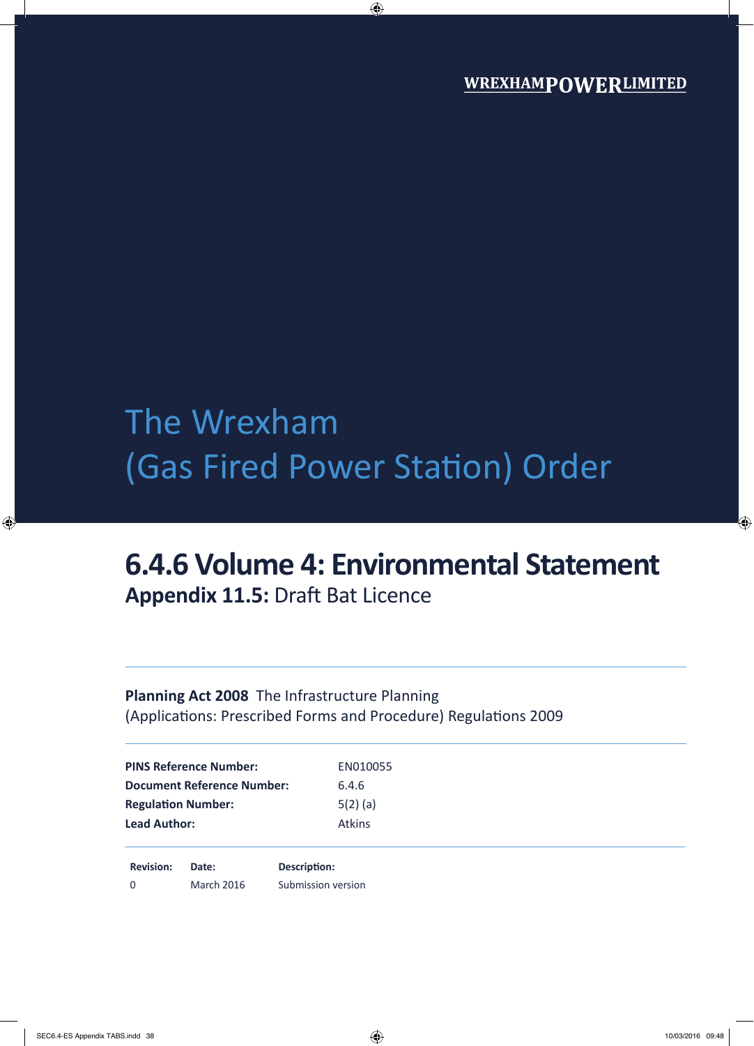# The Wrexham (Gas Fired Power Station) Order

# **6.4.6 Volume 4: Environmental Statement Appendix 11.5:** Draft Bat Licence

### **Planning Act 2008** The Infrastructure Planning (Applications: Prescribed Forms and Procedure) Regulations 2009

| <b>PINS Reference Number:</b>     | EN010055      |
|-----------------------------------|---------------|
| <b>Document Reference Number:</b> | 6.4.6         |
| <b>Regulation Number:</b>         | $5(2)$ (a)    |
| <b>Lead Author:</b>               | <b>Atkins</b> |

**Revision: Date: Description:** 0 March 2016 Submission version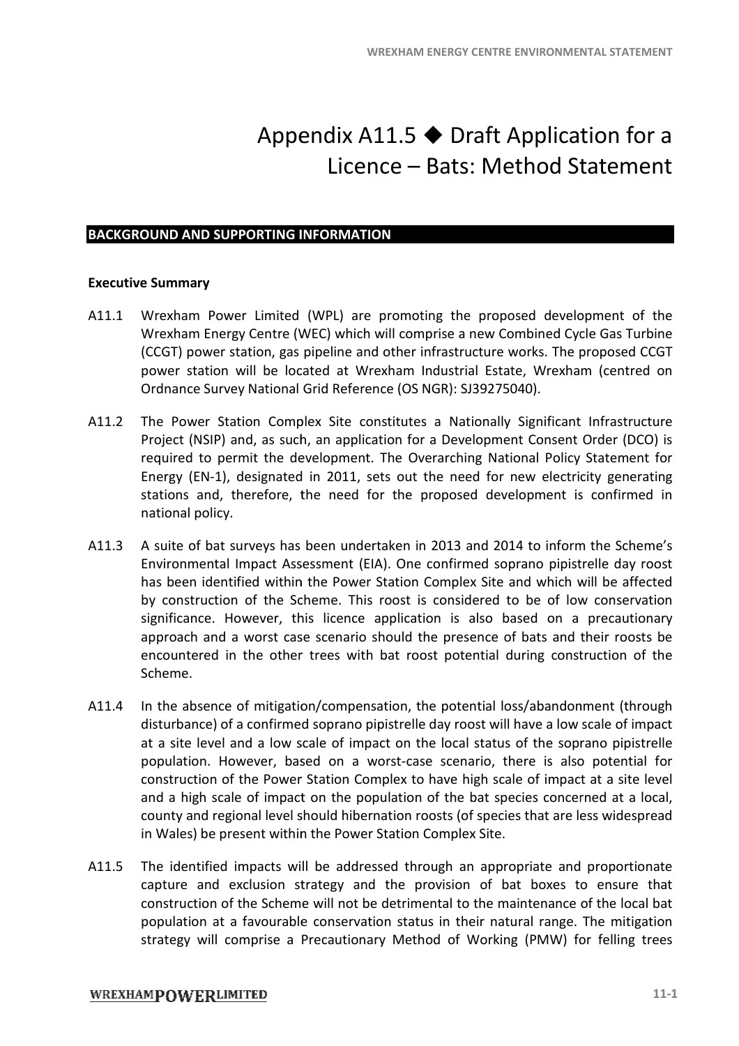## Appendix A11.5  $\blacklozenge$  Draft Application for a Licence - Bats: Method Statement

#### **BACKGROUND AND SUPPORTING INFORMATION RTINGINFORMATION**

#### **Executive Summary**

- A11.1 Wrexham Power Limited (WPL) are promoting the proposed development of the<br>Wrexham Energy Centre (WEC) which will comprise a new Combined Cycle Gas Turbine<br>(CCGT) power station, gas pipeline and other infrastructure w Wrexham Energy Centre (WEC) which will comprise a new Combined Cycle Gas Turbine (CCGT) power station, gas pipeline and other infrastructure works. The proposed CCGT<br>power station will be located at Wrexham Industrial Estate, Wrexham (centred on power station will be located at Wrexham Industrial Estate, Wrexham ( power station will be located at Wrexham Industrial Estate, Wrexham<br>Ordnance Survey National Grid Reference (OS NGR): SJ39275040).
- A11.2 The Power Station Complex Site constitutes a Nationally Significant Infrastructure Project (NSIP) and, as such, an application for a Development Consent Order (DCO) is required to permit the development. The Overarching National Policy Statement for Energy (EN-1), designated in 2011, sets out the need for new electricity generating stations and, therefore, the need for the proposed development is confirmed in national policy. Nationally Significant Infrastructure<br>evelopment Consent Order (DCO) is<br>ching National Policy Statement for
- A11.3 A suite of bat surveys has been undertaken in 2013 and 2014 to inform the Scheme's Environmental Impact Assessment (EIA). One confirmed soprano pipistrelle day roost Environmental Impact Assessment (EIA). One confirmed soprano pipistrelle day roost has been identified within the Power Station Complex Site and which will be affected has been identified within the Power Station Complex Site and which will be affected<br>by construction of the Scheme. This roost is considered to be of low conservation significance. However, this licence application is also based on a precautionary approach and a worst case scenario should the presence of bats and their roosts be encountered in the other trees with bat roost potential during construction of the Scheme. Iowever, this licence application is also based on a precautionary<br>a worst case scenario should the presence of bats and their roosts be<br>1 the other trees with bat roost potential during construction of the WREXHAM ENERGY CENTRE ENVIRONMENTAL STAT<br> **Prodix A11.5 • Draft Application fivelling Licence – Bats: Method Statem**<br>
MCC) which will comprise a new Combined Cycle Gas Ti<br>
MCC) which will comprise a new Combined Cycle Gas ne confirmed soprano pipistrelle day roost<br>on Complex Site and which will be affected<br>t is considered to be of low conservation<br>cation is also based on a precautionary<br>d the presence of bats and their roosts be<br>roost poten
- A11.4 In the absence of mitigation/compensation, the potential loss/abandonment (through In the absence of mitigation/compensation, the potential loss/abandonment (through<br>disturbance) of a confirmed soprano pipistrelle day roost will have a low scale of impact at a site level and a low scale of impact on the local status of the soprano pipistrelle population. However, based on a worst-case scenario, there is also potential for construction of the Power Station Complex to have high scale of impact at a site level<br>and a high scale of impact on the population of the bat species concerned at a local, and a high scale of impact on the population of the bat species concerned at a local, county and regional level should hibernation roosts (of species that are less widespread in Wales) be present within the Power Station Complex Site. case scenario, there is also potential for<br>
to have high scale of impact at a site level<br>
on of the bat species concerned at a local,<br>
n roosts (of species that are less widespread<br>
on Complex Site.<br>
through an appropriate
- in Wales) be present within the Power Station Complex Site.<br>A11.5 The identified impacts will be addressed through an appropriate and proportionate capture and exclusion strategy and the provision of bat boxes to ensure that construction of the Scheme will not be detrimental to the maintenance of the local bat population at a favourable conservation status in their natural range. The mitigation population at a favourable conservation status in their natural range. The mitigation strategy will comprise a Precautionary Method of Working (PMW) for felling trees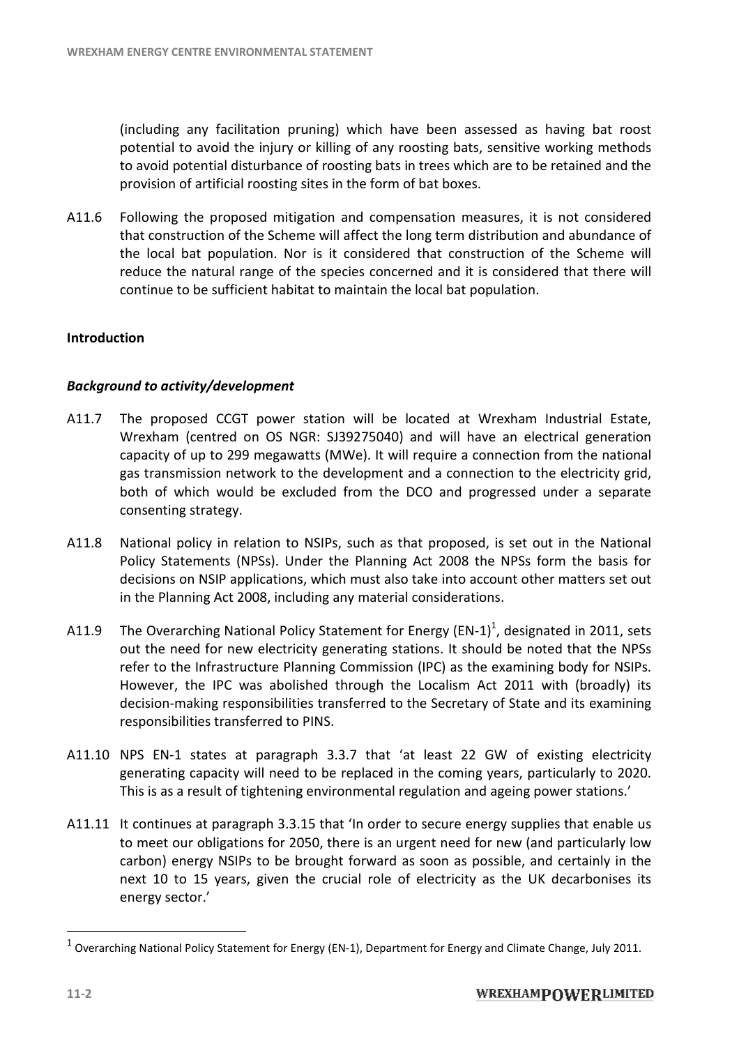(including any facilitation pruning) which have been assessed as having bat roost (including potential to avoid the injury or killing of any roosting bats, sensitive working methods potential to avoid the injury or killing of any roosting bats, sensitive working methods<br>to avoid potential disturbance of roosting bats in trees which are to be retained and the provision of artificial roosting sites in the form of bat boxes.

A11.6 Following the proposed mitigation and compensation measures, it is not considered that construction of the Scheme will affect the long term distribution and abundance of the local bat population. Nor is it considered that construction of the Scheme will reduce the natural range of the species concerned and it is considered that there will continue to be sufficient habitat to maintain the local bat population. Following the proposed mitigation and compensation measures, it is n<br>that construction of the Scheme will affect the long term distribution and<br>the local bat population. Nor is it considered that construction of th

#### **Introduction**

#### *Background to activity/development*

- A11.7 The proposed CCGT power station will be located at Wrexham Industrial Estate, Wrexham (centred on OS NGR: SJ39275040) and will have an electrical generation Wrexham (centred on OS NGR: SJ39275040) and will have an electrical generation<br>capacity of up to 299 megawatts (MWe). It will require a connection from the national gas transmission network to the development and a connection to the electricity grid, capacity of up to 299 megawatts (MWe). It will require a connection from the national<br>gas transmission network to the development and a connection to the electricity grid,<br>both of which would be excluded from the DCO and p consenting strategy. continue to be sufficient habitat to maintain the local bat population<br>**tion**<br>und to activity/development<br>The proposed CCGT power station will be located at Wrexham
- A11.8 National policy in relation to NSIPs, such as that proposed, is set out in the National Policy Statements (NPSs). Under the Planning Act 2008 the NPSs form the basis for Policy Statements (NPSs). Under the Planning Act 2008 the NPSs form the basis for<br>decisions on NSIP applications, which must also take into account other matters set out in the Planning Act 2008, including any material considerations. e DCO and progressed under a s<br>that proposed, is set out in the N<br>ng Act 2008 the NPSs form the b<br>so take into account other matters
- in the Planning Act 2008, including any material considerations.<br>A11.9 The Overarching National Policy Statement for Energy (EN-1)<sup>1</sup>, designated in 2011, sets out the need for new electricity generating stations. It should be noted that the NPSs refer to the Infrastructure Planning Commission (IPC) as the examining body for NSIPs. refer to the Infrastructure Planning Commission (IPC) as the examining body for NSIPs.<br>However, the IPC was abolished through the Localism Act 2011 with (broadly) its decision-making responsibilities transferred to the Secretary of State and its examining responsibilities transferred to PINS. ould be noted that the NPSs<br>he examining body for NSIPs.<br>Act 2011 with (broadly) its<br>ry of State and its examining
- responsibilities transferred to PINS.<br>A11.10 NPS EN-1 states at paragraph 3.3.7 that 'at least 22 GW of existing electricity generating capacity will need to be replaced in the coming years, particularly to 2020.<br>This is as a result of tightening environmental regulation and ageing power stations.'<br>It continues at paragraph 3.3.15 that 'In order This is as a result of tightening environmental regulation and ageing power stations.'
- A11.11 It continues at paragraph 3.3.15 that 'In order to secure energy supplies that enable us to meet our obligations for 2050, there is an urgent need for new (and particularly low to meet our obligations for 2050, there is an urgent need for new (and particularly low<br>carbon) energy NSIPs to be brought forward as soon as possible, and certainly in the next 10 to 15 years, given the crucial role of electricity as the UK decarbonises its nextenergy sector.'

 $\overline{a}$ 

<sup>&</sup>lt;sup>1</sup> Overarching National Policy Statement for Energy (EN-1), Department for Energy and Climate Change, July 2011.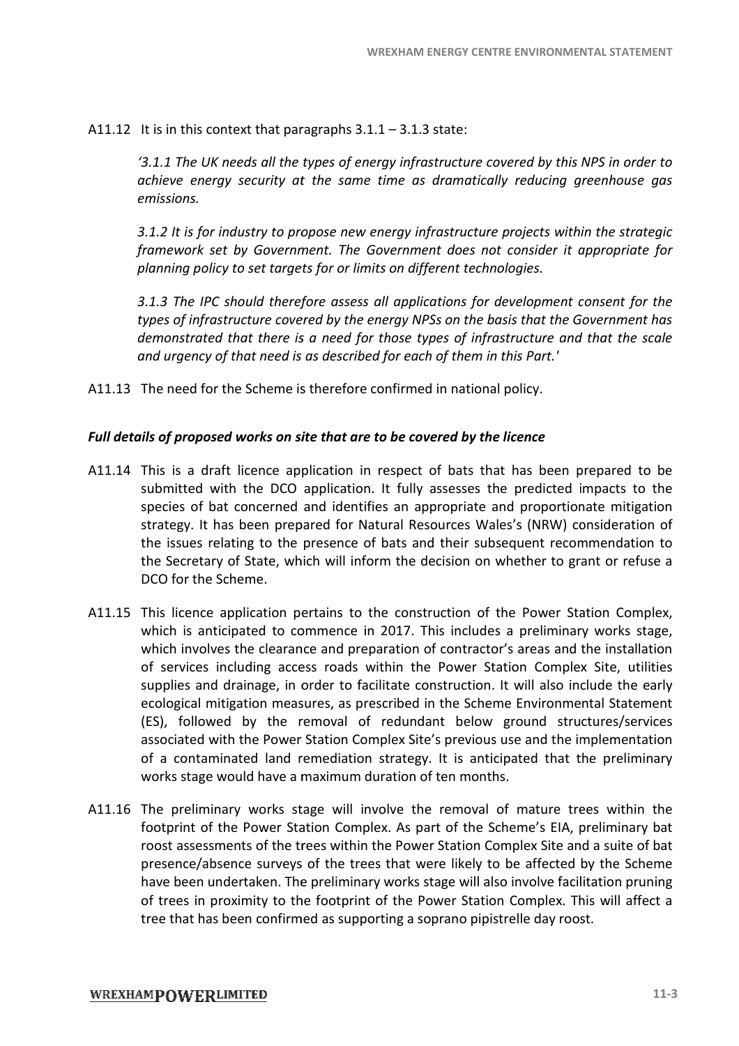A11.12 It is in this context that paragraphs  $3.1.1 - 3.1.3$  state:

*'3.1.1 The UK needs all the types of energy infrastructure covered by this NPS in order to achieve energy security at the same time as dramatically reducing greenhouse gas emissions.*  '3.1.1 The UK needs all the types of energy infrastructure covered by this NPS in order to<br>achieve energy security at the same time as dramatically reducing greenhouse gas<br>emissions.<br>3.1.2 It is for industry t

*framework set by Government. The Government does not consider it appropriate for meworkby it planning policy to set targets for or limits on different technologies. targets for or technologies.*

*3.1.3 The IPC should therefore assess all applications for development consent for the types of infrastructure covered by the energy NPSs on the basis that the Government has demonstrated that there is a need for those types of infrastructure and that the scale and urgency of that need is as described for each of them in this Part.' IPC should therefore assess all applications for development consent for the frastructure covered by the energy NPSs on the basis that the Government has ited that there is a need for those types of infrastructure and tha* 

A11.13 The need for the Scheme is therefore confirmed in national policy.

#### *Full details of proposed works on site that are to be covered by the licence detailsproposedworks site be covered*

- A11.14 This is a draft licence application in respect of bats that has been prepared to be submitted with the DCO application. It fully assesses the predicted impacts to the species of bat concerned and identifies an appropriate and proportionate mitigation<br>strategy. It has been prepared for Natural Resources Wales's (NRW) consideration of strategy. It has been prepared for Natural Resources Wales's (NRW) consideration of the issues relating to the presence of bats and their subsequent recommendation to the Secretary of State, which will inform the decision on whether to grant or refuse a DCO for the Scheme. the predicted impacts to<br>and proportionate mitigariales's (NRW) consideration<br>bsequent recommendation
- A11.15 This licence application pertains to the construction of the Power Station Complex, the Secretary of State, which will inform the decision on whether to grant or refuse a<br>DCO for the Scheme.<br>This licence application pertains to the construction of the Power Station Complex,<br>which is anticipated to commenc which involves the clearance and preparation of contractor's areas and the installation of services including access roads within the Power Station Complex Site, utilities which is anticipated to commence in 2017. This includes a preliminary works stage, which involves the clearance and preparation of contractor's areas and the installation of services including access roads within the Power ecological mitigation measures, as prescribed in the Scheme Environmental Statement ecological mitigation measures, as prescribed in the Scheme Environmental Statement<br>(ES), followed by the removal of redundant below ground structures/services associated with the Power Station Complex Site's previous use and the implementation of a contaminated land remediation strategy. It is anticipated that the preliminary works stage would have a maximum duration of ten months. works stage would have a maximum duration of ten months. WRENHAM ENERGY CENTRE ENVIRONMENTAL<br>
11.5 in this context that paragraphs 3.1.1 – 3.1.3 state:<br>
11.5 in this context that paragraphs 3.1.1 – 3.1.3 state:<br>
11.1.7 The UK needs off the types of energy infrastructure covered s previous use and the implementation<br>It is anticipated that the preliminary<br>ten months.<br>removal of mature trees within the
- A11.16 The preliminary works stage will involve the removal of mature trees within the The preliminary works stage will involve the removal of mature trees within the<br>footprint of the Power Station Complex. As part of the Scheme's EIA, preliminary bat roost assessments of the trees within the Power Station Complex Site and a suite of bat presence/absence surveys of the trees that were likely to be affected by the Scheme have been undertaken. The preliminary works stage will also involve facilitation pruning roost assessments of the trees within the Power Station Complex Site and a suite of bat<br>presence/absence surveys of the trees that were likely to be affected by the Scheme<br>have been undertaken. The preliminary works stage tree that has been confirmed as supporting a soprano pipistrelle day roost.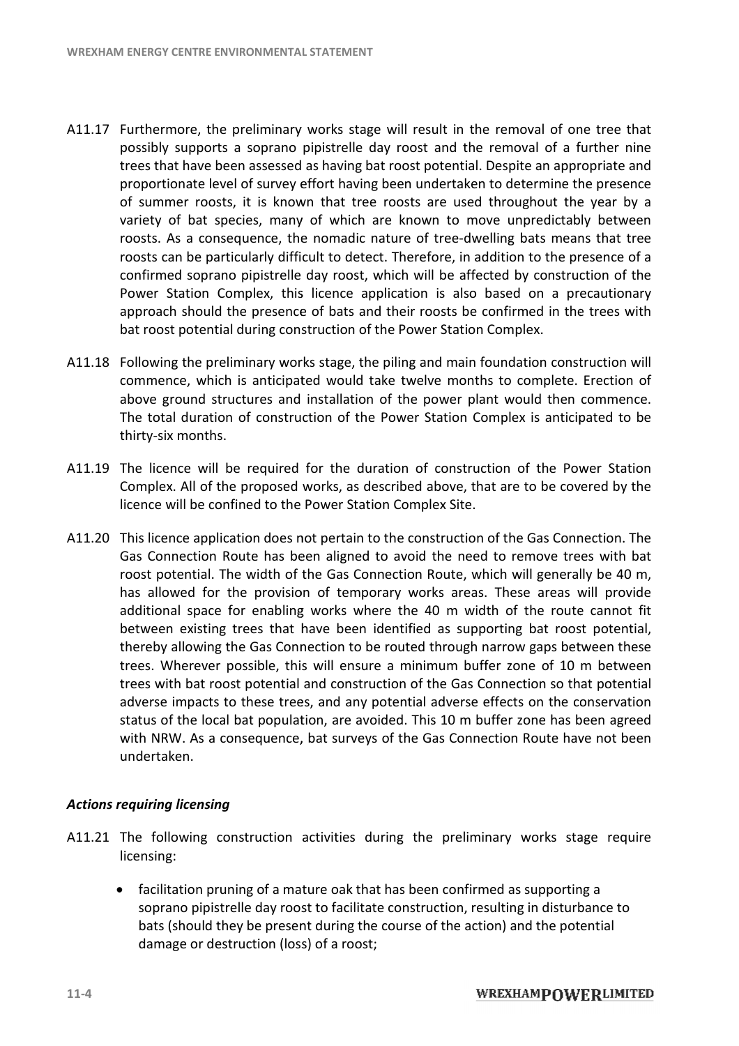- A11.17 Furthermore, the preliminary works stage will result in the removal of one tree that possibly supports a soprano pipistrelle day roost and the removal of a further nine trees that have been assessed as having bat roost potential. Despite an appropriate an proportionate level of survey effort having been undertaken to determine the presence of summer roosts, it is known that tree roosts are used throughout the year by a variety of bat species, many of which are known to move unpredictably between<br>roosts. As a consequence, the nomadic nature of tree-dwelling bats means that tree roosts. As a consequence, the nomadic nature of tree-dwelling bats means that tree roosts can be particularly difficult to detect. Therefore, in addition to the presence of a confirmed soprano pipistrelle day roost, which will be affected by construction of the Power Station Complex, this licence application is also based on a precautionary Power Station Complex, this licence application is also based on a precautionary<br>approach should the presence of bats and their roosts be confirmed in the trees with bat roost potential during construction of the Power Station Complex. I of survey effort having been undertaken to determine the presence, it is known that tree roosts are used throughout the year by a ccies, many of which are known to move unpredictably between quence, the nomadic nature of
- A11.18 Following the preliminary works stage, the piling and main foundation construction will commence, which is anticipated would take twelve months to complete. Erection of above ground structures and installation of the power plant would then commence. The total duration of construction of the Power Station Complex is anticipated to be thirty-six months. The total duration of construction of the Power Station Complex is anticipa<br>thirty-six months.<br>A11.19 The licence will be required for the duration of construction of the Pow Following the preliminary works stage, the piling and main foundation construction will<br>commence, which is anticipated would take twelve months to complete. Erection of<br>above ground structures and installation of the power
- Complex. All of the proposed works, as described above, that are to be covered by the licence will be confined to the Power Station Complex Site.
- A11.20 This licence application does not pertain to the construction of the Gas Connection. The Gas Connection Route has been aligned to avoid the need to remove trees with bat roost potential. The width of the Gas Connection Route, which will generally be 40 m, roost potential. The width of the Gas Connection Route, which will generally be has allowed for the provision of temporary works areas. These areas will provide additional space for enabling works where the 40 m width of the route cannot fit additional space for enabling works where the 40 m width of the route cannot fit between existing trees that have been identified as supporting bat roost potential, thereby allowing the Gas Connection to be routed through narrow gaps between these trees. Wherever possible, this will ensure a minimum buffer zone of 10 m between trees with bat roost potential and construction of the Gas Connection so that potential adverse impacts to these trees, and any potential adverse effects on the conservation status of the local bat population, are avoided. This 10 m buffer zone has been agreed with NRW. As a consequence, bat surveys of the Gas Connection Route have not been undertaken. thereby allowing the Gas Connection to be routed through narrow gaps between these<br>trees. Wherever possible, this will ensure a minimum buffer zone of 10 m between<br>trees with bat roost potential and construction of the Gas thermore, the preliminary works stage will result in the removal of one tree that the provides stably supports a soprano pipistrelle day roost and the removal of a further nine est that have been assessed as having bat roo e Gas Connection so that p<br>dverse effects on the conse<br>10 m buffer zone has been

#### *Actions requiring licensing*

- A11.21 The following construction activities during the preliminary works stage require licensing:
	- · facilitation pruning of a mature oak that has been confirmed as supporting a soprano pipistrelle day roost to facilitate construction, resulting in disturbance to bats (should they be present during the course of the action) and the potential damage or destruction (loss) of a roost; The following construction activities during the preliminary works stage<br>licensing:<br>• facilitation pruning of a mature oak that has been confirmed as supporting a<br>soprano pipistrelle day roost to facilitate construction, r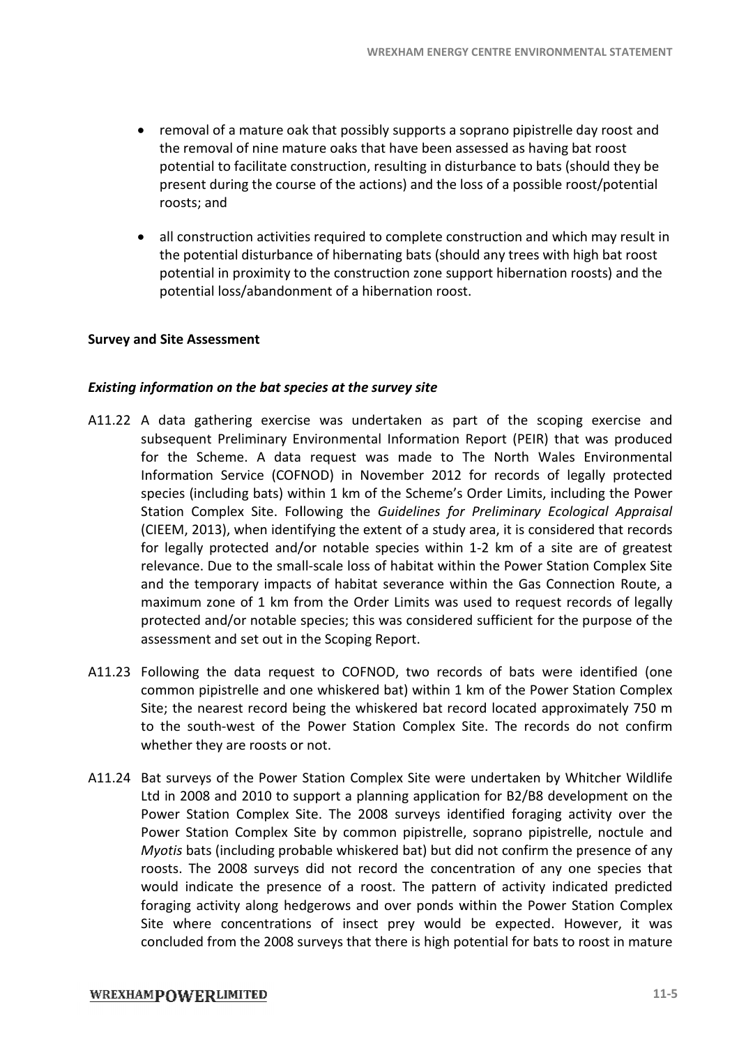- removal of a mature oak that possibly supports a soprano pipistrelle day roost and the removal of nine mature oaks that have been assessed as having bat roost the removal of nine mature oaks that have been assessed as having bat roost<br>potential to facilitate construction, resulting in disturbance to bats (should they be present during the course of the actions) and the loss of a possible roo roosts; and trelle day roost and<br>aving bat roost<br>pats (should they be<br>ible roost/potential
- all construction activities required to complete construction and which may result in the potential disturbance of hibernating bats (should any trees with high bat roost potential in proximity to the construction zone support hiber hibernation roosts) and the potential loss/abandonment of a hibernation roost. hibernation

#### **Survey and Site Assessment**

#### *Existing information on the bat species at the survey site the*

- A11.22 A data gathering exercise was undertaken as part of the scoping exercise and subsequent Preliminary Environmental Information Report (PEIR) that was for the Scheme. A data request was made to The North Wales Environmental for the Scheme. A data request was made to The North Wales Environmental<br>Information Service (COFNOD) in November 2012 for records of legally protected Information Service (COFNOD) in November 2012 for records of legally protected species (including bats) within 1 km of the Scheme's Order Limits, including the Power Station Complex Site. Following the Guidelines for Preliminary Ecological Appraisal (CIEEM, 2013), when identifying the extent of a study area, it is considered that records (CIEEM, 2013), when identifying the extent of a study area, it is considered that records for legally protected and/or notable species within 1-2 km of a site are of greatest relevance. Due to the small-scale loss of habitat within the Power Station Complex Site and the temporary impacts of habitat severance within the Gas Connection Route, a maximum zone of 1 km from the Order Limits was used to request records of legally protected and/or notable species; this was considered sufficient for the purpose of the assessment and set out in the Scoping Report. relevance. Due to the small-scale loss of habitat within the Power Station Complex Site<br>
and the temporary impacts of habitat severance within the Gas Connection Route, a<br>
maximum zone of 1 km from the Order Limits was use wREXHAM ENERGY CENTRE ENVIRONMENTAL<br>ure oak that possibly supports a soprano pipistrelle day re<br>ne mature oaks that have been assessed as having bat rc<br>at exercucition, resulting in disturbance to bats (should truth<br>econom nation roosts) and the<br>scoping exercise and<br>EIR) that was produced
- common pipistrelle and one whiskered bat) within 1 km of the Power Station Complex common pipistrelle and one whiskered bat) within 1 km of the Power Station Complex<br>Site; the nearest record being the whiskered bat record located approximately 750 m to the south-west of the Power Station Complex Site. The records do not confirm<br>whether they are roosts or not.<br>Bat surveys of the Power Station Complex Site were undertaken by Whitcher Wildlife whether they are roosts or not.
- A11.24 Bat surveys of the Power Station Complex Site were undertaken by Whitcher Wildlife Ltd in 2008 and 2010 to support a planning application for B2/B8 development on the Power Station Complex Site. The 2008 surveys identified foraging activity over the Power Station Complex Site by common pipistrelle, soprano pipistrelle, noctule and Myotis bats (including probable whiskered bat) but did not confirm the presence of any roosts. The 2008 surveys did not record the concentration of any one species that would indicate the presence of a roost. The pattern of activity indicated predicted foraging activity along hedgerows and over ponds within the Power Station Complex Site where concentrations of insect prey would be expected. However, it concluded from the 2008 surveys that there is high potential for bats to roost in mature rveys identified foraging activity over the<br>ipistrelle, soprano pipistrelle, noctule and<br>at) but did not confirm the presence of any<br>he concentration of any one species that<br>he pattern of activity indicated predicted<br>ponds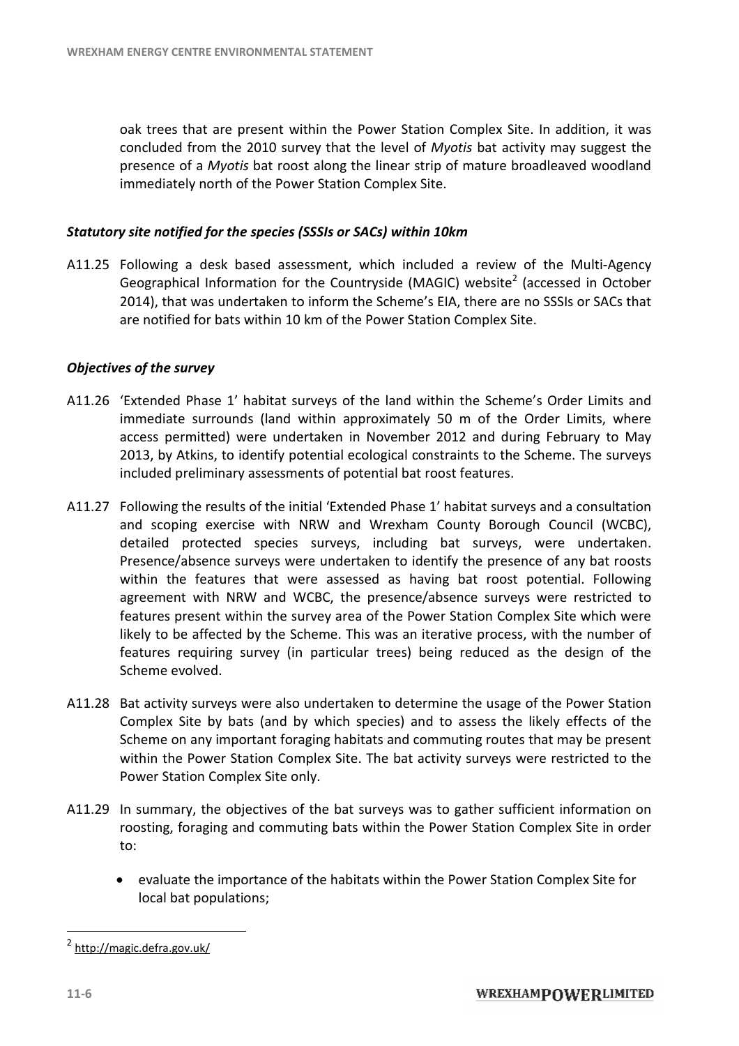oak trees that are present within the Power Station Complex Site. In addition, it was concluded from the 2010 survey that the level of Myotis bat activity may suggest the presence of a Myotis bat roost along the linear strip of mature broadleaved woodland immediately north of the Power Station Complex Site. immediately

#### *Statutory site notified for the species (SSSIs or SACs) within 10km notified (SSSIs SACs)*

A11.25 Following a desk based assessment, which included a review of the Multi-Agency Geographical Information for the Countryside (MAGIC) website<sup>2</sup> (accessed in October 2014), that was undertaken to inform the Scheme's EIA, there are no SSSIs or SACs that are notified for bats within 10 km of the Power St 2014), that was undertaken to inform the Scheme's EIA, there are no SSSIs or SACs that are notified for bats within 10 km of the Power Station Complex Site.

#### *Objectives of the survey*

- A11.26 'Extended Phase 1' habitat surveys of the land within the Scheme's Order Limits and immediate surrounds (land within approximately 50 m of the Order Limits, where 'Extended Phase 1' habitat surveys of the land within the Scheme's Order Limits and<br>immediate surrounds (land within approximately 50 m of the Order Limits, where<br>access permitted) were undertaken in November 2012 and duri 2013, by Atkins, to identify potential ecological constraints to the Scheme. The surveys included preliminary assessments of potential bat roost features.
- A11.27 Following the results of the initial 'Extended Phase 1' habitat surveys and a consultation and scoping exercise with NRW and Wrexham County Borough Council (WCBC), detailed protected species surveys, including bat surveys, were undertaken. Presence/absence surveys were undertaken to identify the presence of any within the features that were assessed as having bat roost potential. Following agreement with NRW and WCBC, the presence/absence surveys were restricted to agreement with NRW and WCBC, the presence/absence surveys were restricted to<br>features present within the survey area of the Power Station Complex Site which were likely to be affected by the Scheme. This was an iterative process, with the number of features requiring survey (in particular trees) being reduced as the design of the Scheme evolved. and scoping exercise with NRW and Wrexham County Borough Council (WCBC), detailed protected species surveys, including bat surveys, were undertaken.<br>Presence/absence surveys were undertaken to identify the presence of any likely to be affected by the Scheme. This was an iterative process, with the number of<br>features requiring survey (in particular trees) being reduced as the design of the<br>Scheme evolved.<br>Bat activity surveys were also under s and a consultation<br>th Council (WCBC),<br>were undertaken.<br>ce of any bat roosts
- A11.28 Bat activity surveys were also undertaken to determine the usage of the Power Station Complex Site by bats (and by which species) and to assess the likely effects of the Scheme on any important foraging habitats and commuting routes that may be present Scheme on any important foraging habitats and commuting routes that may be present<br>within the Power Station Complex Site. The bat activity surveys were restricted to the Power Station Complex Site only. Fthe Power<br>kely effects<br>nat may be<br>re restricted<br>ent informa<br>mplex Site i<br>Complex Si
- A11.29 In summary, the objectives of the bat surveys was to gather sufficient information on In summary, the objectives of the bat surveys was to gather sufficient information on<br>roosting, foraging and commuting bats within the Power Station Complex Site in order to:
	- evaluate the importance of the habitats within the Power Station Complex Site for local bat populations;

 $\overline{a}$ 

<sup>2</sup> <http://magic.defra.gov.uk/>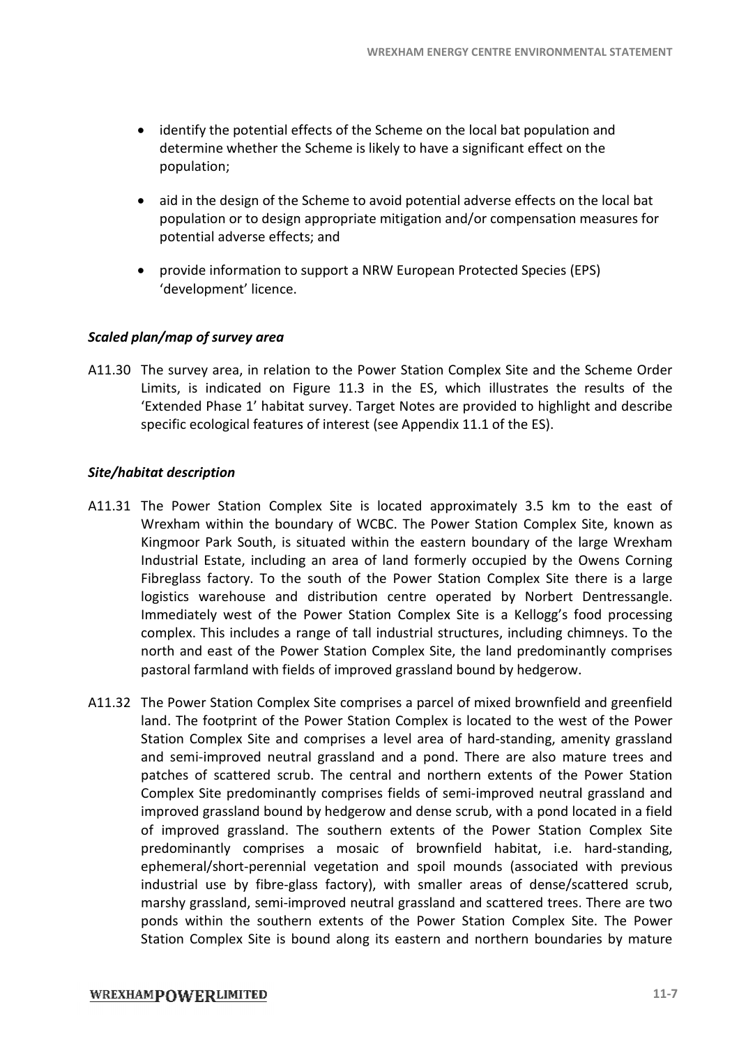- identify the potential effects of the Scheme on the local bat population and determine whether the Scheme is likely to have a significant effect on the population;
- aid in the design of the Scheme to avoid potential adverse effects on the local bat population or to design appropriate mitigation and/or compensation measures for potential adverse effects; and potential adverse effects on the local bat<br>gation and/or compensation measures for<br>uropean Protected Species (EPS)<br>itation Complex Site and the Scheme Order
- potential adverse effects; and<br>• provide information to support a NRW European Protected Species (EPS) 'development' licence.

#### *Scaled plan/map of survey area*

A11.30 The survey area, in relation to the Power Station Complex Site and the Limits, is indicated on Figure 11.3 in the ES, which illustrates the results of the Limits, is indicated on Figure 11.3 in the ES, which illustrates the results of the 'Extended Phase 1' habitat survey. Target Notes are provided to highlight and describe specific ecological features of interest (see Appendix 11.1 of the ES).

#### *Site/habitat description*

- A11.31 The Power Station Complex Site is located approximately 3.5 km to the east of Wrexham within the boundary of WCBC. The Power Station Complex Site, known as Kingmoor Park South, is situated within the eastern boundary of the large Wrexham<br>Industrial Estate, including an area of land formerly occupied by the Owens Corning<br>Fibreglass factory. To the south of the Power Station Co Industrial Estate, including an area of land formerly occupied by the Owens Corning Fibreglass factory. To the south of the Power Station Complex Site there is a large logistics warehouse and distribution centre operated by Norbert Dentressangle. Immediately west of the Power Station Complex Site is a Kellogg's food processing complex. This includes a range of tall industrial structures, including ch north and east of the Power Station Complex Site, the land predominantly comprises pastoral farmland with fields of improved grassland bound by hedgerow. warehouse and distribution centre operated by<br>ely west of the Power Station Complex Site is a<br>This includes a range of tall industrial structures, in<br>l east of the Power Station Complex Site, the land<br>armland with fields o ion Complex Site, known as<br>
idary of the large Wrexham<br>
pied by the Owens Corning<br>
pmplex Site there is a large<br>
by Norbert Dentressangle.<br>
a Kellogg's food processing<br>
, including chimneys. To the
- A11.32 The Power Station Complex Site comprises a parcel of mixed brownfield and greenfield land. The footprint of the Power Station Complex is located to the west of the Power Station Complex Site and comprises a level area of hard-standing, amenity grassland and semi-improved neutral grassland and a pond. There are also mature trees and patches of scattered scrub. The central and northern extents of the Power Station Complex Site predominantly comprises fields of semi-improved neutral grassland and improved grassland bound by hedgerow and dense scrub, with a pond located in a field improved grassland bound by hedgerow and dense scrub, with a pond located in a field<br>of improved grassland. The southern extents of the Power Station Complex Site predominantly comprises a mosaic of brownfield habitat, i.e. hard-standing, predominantly comprises a mosaic of brownfield habitat, i.e. hard-standing,<br>ephemeral/short-perennial vegetation and spoil mounds (associated with previous industrial use by fibre-glass factory), with smaller areas of dense/scattered scrub, marshy grassland, semi-improved neutral grassland and scattered trees. There are two ponds within the southern extents of the Power Station Complex Site. Station Complex Site is bound along its eastern and northern boundaries by mature nt of the Power Station Complex is located to the west of the Power<br>Site and comprises a level area of hard-standing, amenity grassland<br>ed neutral grassland and a pond. There are also mature trees and<br>ered scrub. The centr perennial vegetation and spoil mounds (associated with previous fibre-glass factory), with smaller areas of dense/scattered scrub, semi-improved neutral grassland and scattered trees. There are two southern extents of the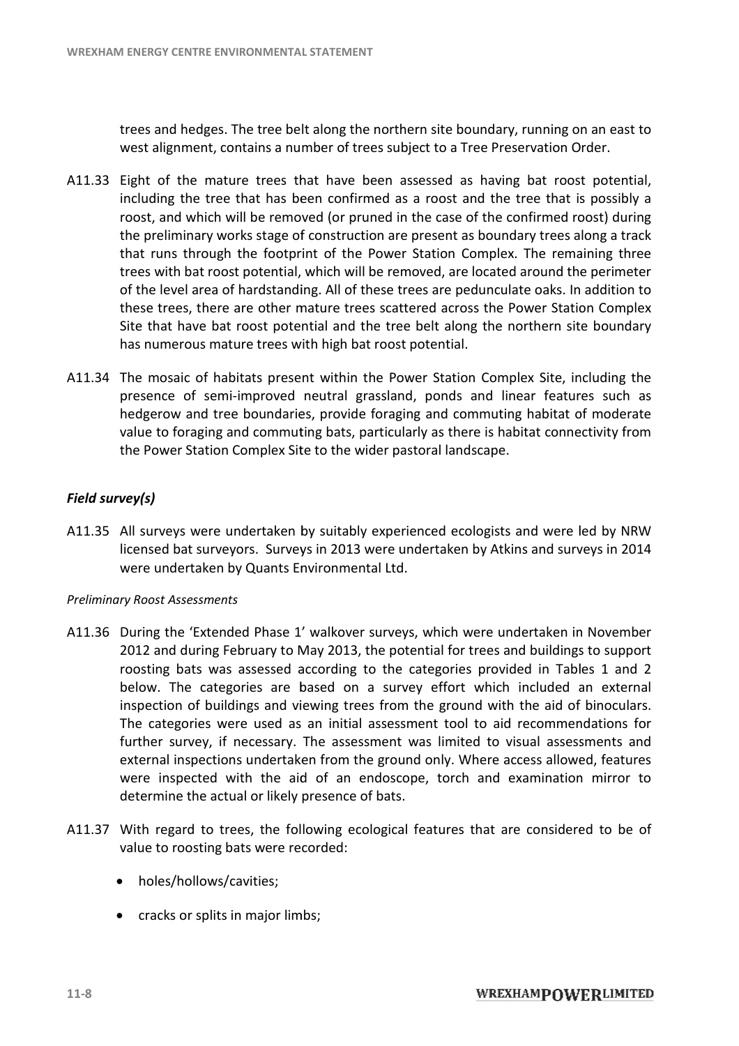trees and hedges. The tree belt along the northern site boundary, running on an east to west alignment, contains a number of trees subject to a Tree Preservation Order. trees and hedges. The tree belt along the northern site boundary, running on an east to<br>west alignment, contains a number of trees subject to a Tree Preservation Order.<br>A11.33 Eight of the mature trees that have been asses

- including the tree that has been confirmed as a roost and the tree that is possibly a roost, and which will be removed (or pruned in the case of the confirmed roost) during the preliminary works stage of construction are present as boundary trees along a track that runs through the footprint of the Power Station Complex. The remaining three trees with bat roost potential, which will be removed, are located around the perimeter trees with bat roost potential, which will be removed, are located around the perimeter<br>of the level area of hardstanding. All of these trees are pedunculate oaks. In addition to these trees, there are other mature trees scattered across the Power Station Complex Site that have bat roost potential and the tree belt along the northern site boundary has numerous mature trees with high bat roost potential.
- A11.34 The mosaic of habitats present within the Power Station Complex Site, including the presence of semi-improved neutral grassland, ponds and linear features such as hedgerow and tree boundaries, provide foraging and commuting habitat of moderat value to foraging and commuting bats, particularly as there is habitat connectivity from the Power Station Complex Site to the wider pastoral landscape. presence of semi-improved neutral grassland, ponds and linear features such a<br>hedgerow and tree boundaries, provide foraging and commuting habitat of moderat<br>value to foraging and commuting bats, particularly as there is h

#### *Field survey(s)*

A11.35 All surveys were undertaken by suitably experienced ecologists and were led by NRW All surveys were undertaken by suitably experienced ecologists and were led by NRW<br>licensed bat surveyors. Surveys in 2013 were undertaken by Atkins and surveys in 2014 were undertaken by Quants Environmental Ltd.

#### *Preliminary Roost Assessments*

- were undertaken by Quants Environmental Ltd.<br>
Preliminary Roost Assessments<br>
A11.36 During the 'Extended Phase 1' walkover surveys, which were undertaken in November 2012 and during February to May 2013, the potential for trees and buildings to support roosting bats was assessed according to the categories provided in Tables 1 and 2 below. The categories are based on a survey effort which included an external below. The categories are based on a survey effort which included an external inspection of buildings and viewing trees from the ground with the aid of binoculars. The categories were used as an initial assessment tool to aid recommendations for The categories were used as an initial assessment tool to aid recommendations for<br>further survey, if necessary. The assessment was limited to visual assessments and external inspections undertaken from the ground only. Where access allowed, features were inspected with the aid of an endoscope, torch and examination mirror to determine the actual or likely presence of bats. Fight of the mature trees that have been assessed as having bat roost potential,<br>Fight of the mathemole than the smooth media of the membershing on the theoretic proofs, and which will be rememinary works stage of construc weys, which were undertaken in November<br>potential for trees and buildings to support<br>he categories provided in Tables 1 and 2<br>urvey effort which included an external<br>om the ground with the aid of binoculars.<br>essment tool t
- determine the actual or likely presence of bats.<br>A11.37 With regard to trees, the following ecological features that are considered to be of value to roosting bats were recorded:
	- holes/hollows/cavities:
	- cracks or splits in major limbs;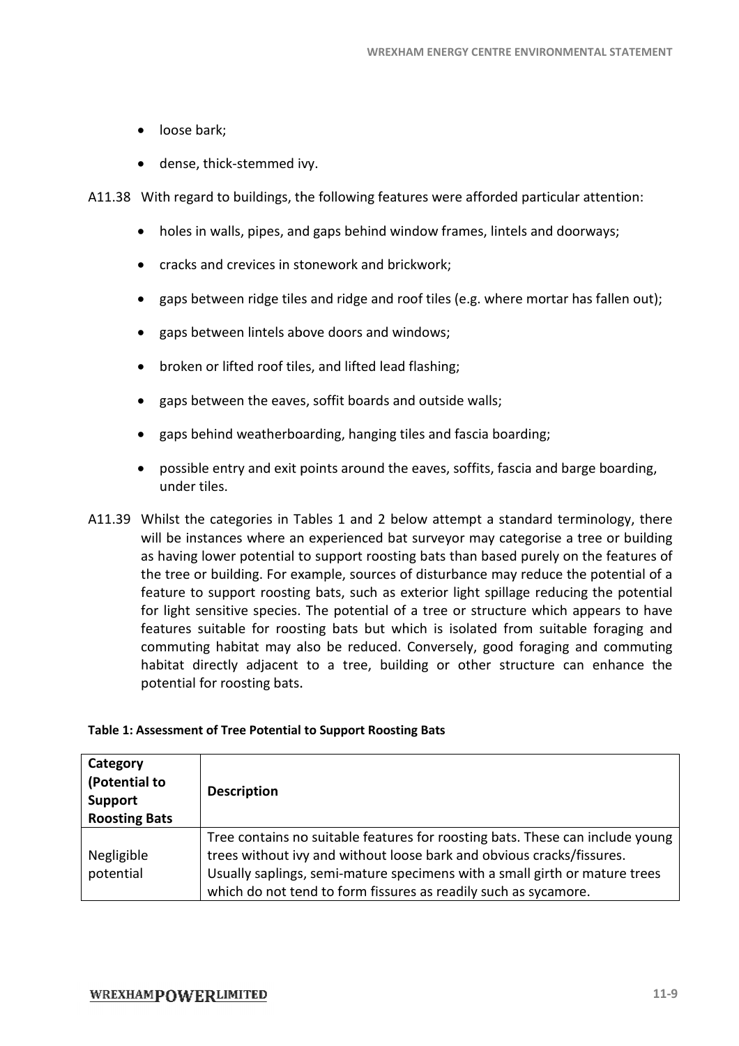- loose bark:
- · dense, thick-stemmed ivy.

A11.38 With regard to buildings, the following features were afforded particular attention:

- dense, thick-stemmed ivy.<br>With regard to buildings, the following features were afforded particular attent<br>• holes in walls, pipes, and gaps behind window frames, lintels and doorways;
- · cracks and crevices in stonework and brickwork;
- gaps between ridge tiles and ridge and roof tiles (e.g. where mortar has fallen out); • cracks and crevices in stonework and brickwork;<br>• gaps between ridge tiles and ridge and roof tiles<br>• gaps between lintels above doors and windows;
- 
- broken or lifted roof tiles, and lifted lead flashing;
- · gaps between the eaves, soffit boards and outside walls; boards
- · gaps behind weatherboarding, hanging tiles and fascia boarding;
- · possible entry and exit points around the eaves, soffits, fascia and barge boarding, under tiles.
- A11.39 Whilst the categories in Tables 1 and 2 below attempt a standard terminology, there will be instances where an experienced bat surveyor may categorise a tree or building as having lower potential to support roosting bats than based purely on the features of the tree or building. For example, sources of disturbance may reduce the potential of a feature to support roosting bats, such as exterior light spillage reducing the potential for light sensitive species. The potential of a tree or structure which appears to h features suitable for roosting bats but which is isolated from suitable foraging and commuting habitat may also be reduced. Conversely, good foraging and commuting habitat directly adjacent to a tree, building or other structure can enhance the potential for roosting bats. gaps behind weatherboarding, hanging tiles and fascia boarding;<br>possible entry and exit points around the eaves, soffits, fascia and barge boarding,<br>under tiles.<br>list the categories in Tables 1 and 2 below attempt a standa feature to support roosting bats, such as exterior light spillage reducing the potential<br>for light sensitive species. The potential of a tree or structure which appears to have<br>features suitable for roosting bats but which frames, lintels and doorways;<br>k;<br>ss (e.g. where mortar has fallen out);<br>s;<br>mg;<br>ide walls;<br>d fascia boarding;<br>s, soffits, fascia and barge boarding,<br>ttempt a standard terminology, there<br>vyor may categorise a tree or buildin

#### **Table 1: Assessment of Tree Potential to Support Roosting Bats**

| Category<br>(Potential to<br><b>Support</b><br><b>Roosting Bats</b> | <b>Description</b>                                                                                                                                                                                                                                                                                      |
|---------------------------------------------------------------------|---------------------------------------------------------------------------------------------------------------------------------------------------------------------------------------------------------------------------------------------------------------------------------------------------------|
| Negligible<br>potential                                             | Tree contains no suitable features for roosting bats. These can include young<br>trees without ivy and without loose bark and obvious cracks/fissures.<br>Usually saplings, semi-mature specimens with a small girth or mature trees<br>which do not tend to form fissures as readily such as sycamore. |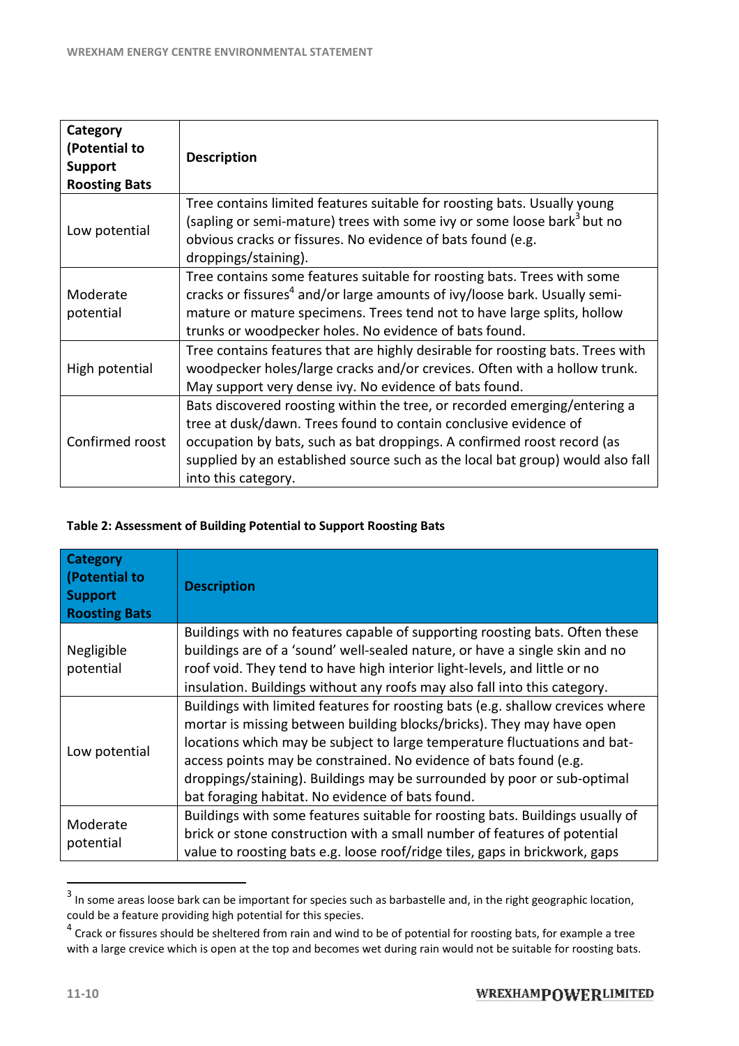| Category<br>(Potential to<br><b>Support</b><br><b>Roosting Bats</b> | <b>Description</b>                                                                                                                                                                                                                                                                                                                |
|---------------------------------------------------------------------|-----------------------------------------------------------------------------------------------------------------------------------------------------------------------------------------------------------------------------------------------------------------------------------------------------------------------------------|
| Low potential                                                       | Tree contains limited features suitable for roosting bats. Usually young<br>(sapling or semi-mature) trees with some ivy or some loose bark <sup>3</sup> but no<br>obvious cracks or fissures. No evidence of bats found (e.g.<br>droppings/staining).                                                                            |
| Moderate<br>potential                                               | Tree contains some features suitable for roosting bats. Trees with some<br>cracks or fissures <sup>4</sup> and/or large amounts of ivy/loose bark. Usually semi-<br>mature or mature specimens. Trees tend not to have large splits, hollow<br>trunks or woodpecker holes. No evidence of bats found.                             |
| High potential                                                      | Tree contains features that are highly desirable for roosting bats. Trees with<br>woodpecker holes/large cracks and/or crevices. Often with a hollow trunk.<br>May support very dense ivy. No evidence of bats found.                                                                                                             |
| Confirmed roost                                                     | Bats discovered roosting within the tree, or recorded emerging/entering a<br>tree at dusk/dawn. Trees found to contain conclusive evidence of<br>occupation by bats, such as bat droppings. A confirmed roost record (as<br>supplied by an established source such as the local bat group) would also fall<br>into this category. |

#### **Table 2: Assessment of Building Potential to Support Roosting Bats**

| Low potential                                   | Tree contains limited features suitable for roosting bats. Usually young<br>(sapling or semi-mature) trees with some ivy or some loose bark <sup>3</sup> but no<br>obvious cracks or fissures. No evidence of bats found (e.g.<br>droppings/staining).                                                                                                                                                                                   |
|-------------------------------------------------|------------------------------------------------------------------------------------------------------------------------------------------------------------------------------------------------------------------------------------------------------------------------------------------------------------------------------------------------------------------------------------------------------------------------------------------|
| Moderate<br>potential                           | Tree contains some features suitable for roosting bats. Trees with some<br>cracks or fissures <sup>4</sup> and/or large amounts of ivy/loose bark. Usually semi-<br>mature or mature specimens. Trees tend not to have large splits, hollow<br>trunks or woodpecker holes. No evidence of bats found.                                                                                                                                    |
| High potential                                  | Tree contains features that are highly desirable for roosting bats. Trees with<br>woodpecker holes/large cracks and/or crevices. Often with a hollow trunk.<br>May support very dense ivy. No evidence of bats found.                                                                                                                                                                                                                    |
| Confirmed roost                                 | Bats discovered roosting within the tree, or recorded emerging/entering a<br>tree at dusk/dawn. Trees found to contain conclusive evidence of<br>occupation by bats, such as bat droppings. A confirmed roost record (as<br>supplied by an established source such as the local bat group) would also fall<br>into this category.                                                                                                        |
|                                                 | Table 2: Assessment of Building Potential to Support Roosting Bats                                                                                                                                                                                                                                                                                                                                                                       |
| <b>Category</b><br>(Potential to                |                                                                                                                                                                                                                                                                                                                                                                                                                                          |
| <b>Support</b>                                  | <b>Description</b>                                                                                                                                                                                                                                                                                                                                                                                                                       |
| <b>Roosting Bats</b><br>Negligible<br>potential | Buildings with no features capable of supporting roosting bats. Often these<br>buildings are of a 'sound' well-sealed nature, or have a single skin and no<br>roof void. They tend to have high interior light-levels, and little or no<br>insulation. Buildings without any roofs may also fall into this category.                                                                                                                     |
| Low potential                                   | Buildings with limited features for roosting bats (e.g. shallow crevices where<br>mortar is missing between building blocks/bricks). They may have open<br>locations which may be subject to large temperature fluctuations and bat-<br>access points may be constrained. No evidence of bats found (e.g.<br>droppings/staining). Buildings may be surrounded by poor or sub-optimal<br>bat foraging habitat. No evidence of bats found. |
| Moderate<br>potential                           | Buildings with some features suitable for roosting bats. Buildings usually of<br>brick or stone construction with a small number of features of potential<br>value to roosting bats e.g. loose roof/ridge tiles, gaps in brickwork, gaps                                                                                                                                                                                                 |

 $3$  In some areas loose bark can be important for species such as barbastelle and, in the right geographic location, could be a feature providing high potential for this species.

 $^4$  Crack or fissures should be sheltered from rain and wind to be of potential for roosting bats, for example a tree with a large crevice which is open at the top and becomes wet during rain would not be suitable for roosting bats.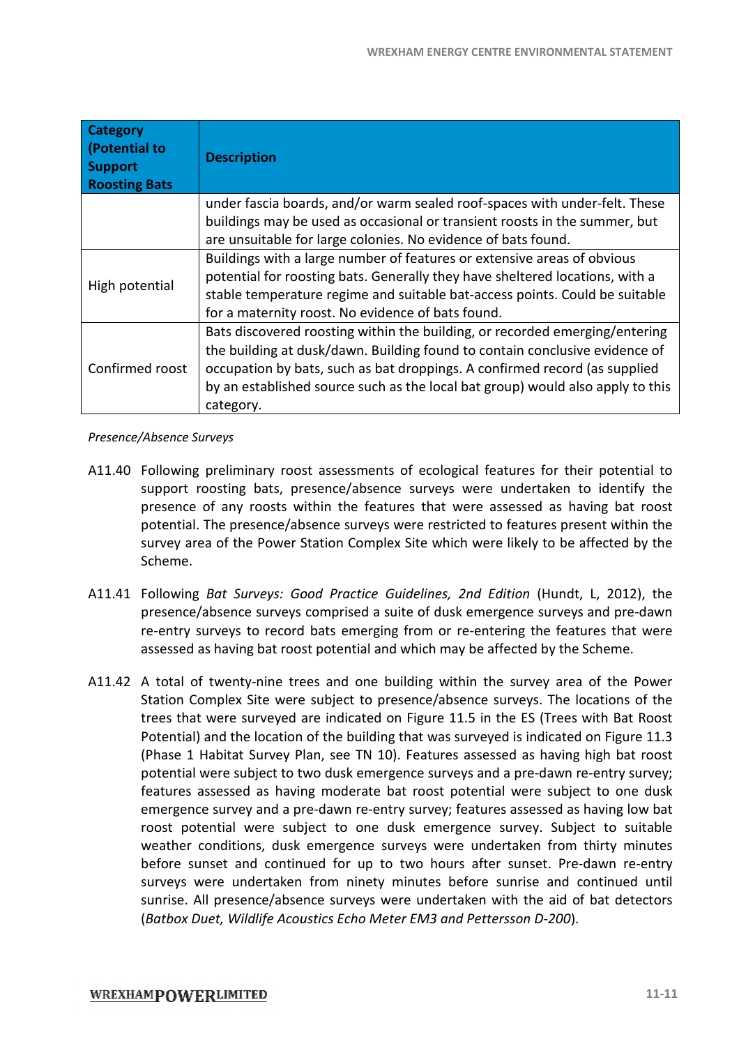| <b>Category</b><br>(Potential to<br><b>Support</b><br><b>Roosting Bats</b> | <b>Description</b>                                                                                                                                                                                                                                                                                                                      |
|----------------------------------------------------------------------------|-----------------------------------------------------------------------------------------------------------------------------------------------------------------------------------------------------------------------------------------------------------------------------------------------------------------------------------------|
|                                                                            | under fascia boards, and/or warm sealed roof-spaces with under-felt. These                                                                                                                                                                                                                                                              |
|                                                                            | buildings may be used as occasional or transient roosts in the summer, but<br>are unsuitable for large colonies. No evidence of bats found.                                                                                                                                                                                             |
| High potential                                                             | Buildings with a large number of features or extensive areas of obvious<br>potential for roosting bats. Generally they have sheltered locations, with a<br>stable temperature regime and suitable bat-access points. Could be suitable<br>for a maternity roost. No evidence of bats found.                                             |
| Confirmed roost                                                            | Bats discovered roosting within the building, or recorded emerging/entering<br>the building at dusk/dawn. Building found to contain conclusive evidence of<br>occupation by bats, such as bat droppings. A confirmed record (as supplied<br>by an established source such as the local bat group) would also apply to this<br>category. |
| Presence/Absence Surveys                                                   |                                                                                                                                                                                                                                                                                                                                         |
| A11.40                                                                     | Following preliminary roost assessments of ecological features for their potential to<br>support roosting bats, presence/absence surveys were undertaken to identify the<br>presence of any roosts within the features that were assessed as having bat roost                                                                           |

#### *Presence/Absence Surveys*

- support roosting bats, presence/absence surveys were undertaken to identify the presence of any roosts within the features that were assessed as having bat roost potential. The presence/absence surveys were restricted to features present within the potential. The presence/absence surveys were restricted to features present within the<br>survey area of the Power Station Complex Site which were likely to be affected by the Scheme.
- A11.41 Following Bat Surveys: Good Practice Guidelines, 2nd Edition (Hundt, L, 2012), the presence/absence surveys comprised a suite of dusk emergence surveys and pre-dawn presence/absence surveys comprised a suite of dusk emergence surveys and pre-dawn<br>re-entry surveys to record bats emerging from or re-entering the features that were assessed as having bat roost potential and which may be affected by the Scheme.
- A11.42 A total of twenty-nine trees and one building within the survey area of the Power A total of twenty-nine trees and one building within the survey area of the Power<br>Station Complex Site were subject to presence/absence surveys. The locations of the trees that were surveyed are indicated on Figure 11.5 in the ES (Trees with B Potential) and the location of the building that was surveyed is indicated on Figure 11.3<br>(Phase 1 Habitat Survey Plan, see TN 10). Features assessed as having high bat roost<br>potential were subject to two dusk emergence su (Phase 1 Habitat Survey Plan, see TN 10). Features assessed as having high bat roost potential were subject to two dusk emergence surveys and a pre-dawn re features assessed as having moderate bat roost potential were subject to one dusk<br>emergence survey and a pre-dawn re-entry survey; features assessed as having low bat emergence survey and a pre-dawn re-entry survey; features assessed roost potential were subject to one dusk emergence survey. Subject to suitable weather conditions, dusk emergence surveys were undertaken from thirty minutes<br>before sunset and continued for up to two hours after sunset. Pre-dawn re-entry before sunset and continued for up to two hours after sunset. Pre-dawn re-entry surveys were undertaken from ninety minutes before sunrise and continued until surveys were undertaken from ninety minutes before sunrise and continued until<br>sunrise. All presence/absence surveys were undertaken with the aid of bat detectors (*Batbox Duet, Wildlife Acoustics Echo Meter EM3 and Pettersson D Duet, Echo D-200*). entering the features that were<br>be affected by the Scheme.<br>h the survey area of the Power<br>ce surveys. The locations of the<br>i in the ES (Trees with Bat Roost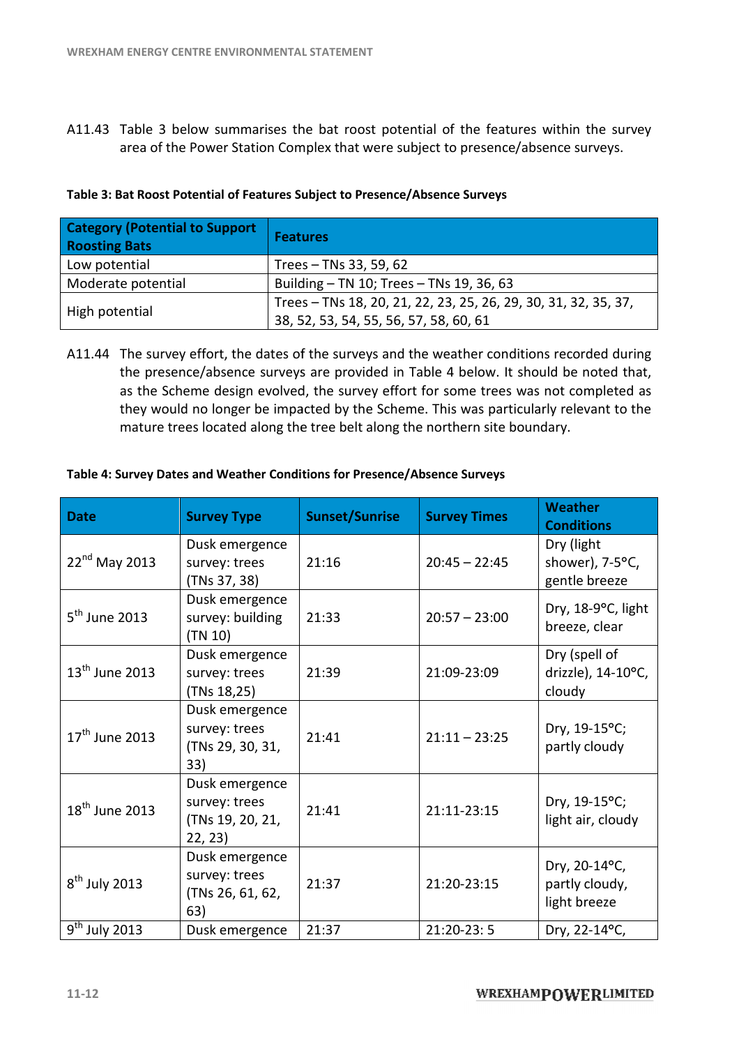A11.43 Table 3 below summarises the bat roost potential of the features within the survey Table 3 below summarises the bat roost potential of the features within the su<br>area of the Power Station Complex that were subject to presence/absence surveys.

| area of the Power Station Complex that were subject to presence/absence surveys. |                                                                                                           |  |  |  |
|----------------------------------------------------------------------------------|-----------------------------------------------------------------------------------------------------------|--|--|--|
| Table 3: Bat Roost Potential of Features Subject to Presence/Absence Surveys     |                                                                                                           |  |  |  |
| <b>Category (Potential to Support</b><br><b>Roosting Bats</b>                    | <b>Features</b>                                                                                           |  |  |  |
| Low potential                                                                    | Trees - TNs 33, 59, 62                                                                                    |  |  |  |
| Moderate potential                                                               | Building - TN 10; Trees - TNs 19, 36, 63                                                                  |  |  |  |
| High potential                                                                   | Trees - TNs 18, 20, 21, 22, 23, 25, 26, 29, 30, 31, 32, 35, 37,<br>38, 52, 53, 54, 55, 56, 57, 58, 60, 61 |  |  |  |

#### **Table 3: Bat Roost Potential of Features Subject to Presence/Absence Surveys Table 3:Bat**

A11.44 The survey effort, the dates of the surveys and the weather conditions recorded during 138, 52, 53, 54, 55, 56, 57, 58, 60, 61<br>The survey effort, the dates of the surveys and the weather conditions recorded during<br>the presence/absence surveys are provided in Table 4 below. It should be noted that, as the Scheme design evolved, the survey effort for some trees was not completed as they would no longer be impacted by the Scheme. This was particularly relevant to the<br>mature trees located along the tree belt along the northern site boundary. mature trees located along the tree belt along the northern site boundary.

| <b>Date</b>                | <b>Survey Type</b>                                             | <b>Sunset/Sunrise</b> | <b>Survey Times</b> | <b>Weather</b><br><b>Conditions</b>             |
|----------------------------|----------------------------------------------------------------|-----------------------|---------------------|-------------------------------------------------|
| 22 <sup>nd</sup> May 2013  | Dusk emergence<br>survey: trees<br>(TNs 37, 38)                | 21:16                 | $20:45 - 22:45$     | Dry (light<br>shower), 7-5°C,<br>gentle breeze  |
| $5^{\text{th}}$ June 2013  | Dusk emergence<br>survey: building<br>(TN 10)                  | 21:33                 | $20:57 - 23:00$     | Dry, 18-9°C, light<br>breeze, clear             |
| $13th$ June 2013           | Dusk emergence<br>survey: trees<br>(TNs 18,25)                 | 21:39                 | 21:09-23:09         | Dry (spell of<br>drizzle), 14-10°C,<br>cloudy   |
| $17th$ June 2013           | Dusk emergence<br>survey: trees<br>(TNs 29, 30, 31,<br>33)     | 21:41                 | $21:11 - 23:25$     | Dry, 19-15°C;<br>partly cloudy                  |
| $18^{\text{th}}$ June 2013 | Dusk emergence<br>survey: trees<br>(TNs 19, 20, 21,<br>22, 23) | 21:41                 | 21:11-23:15         | Dry, 19-15°C;<br>light air, cloudy              |
| $8th$ July 2013            | Dusk emergence<br>survey: trees<br>(TNs 26, 61, 62,<br>63)     | 21:37                 | 21:20-23:15         | Dry, 20-14°C,<br>partly cloudy,<br>light breeze |
| $9th$ July 2013            | Dusk emergence                                                 | 21:37                 | 21:20-23:5          | Dry, 22-14°C,                                   |

#### **Table 4: Survey Dates and Weather Conditions for Presence/Absence Surveys :for**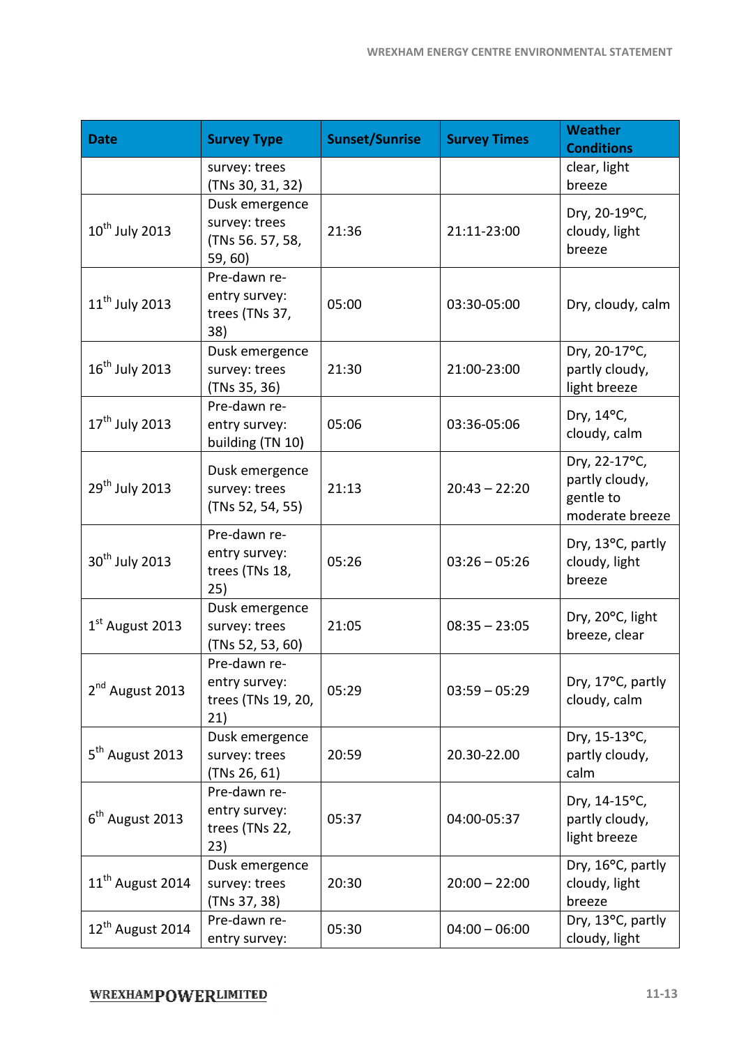| <b>Date</b>                  | <b>Survey Type</b>                                             | <b>Sunset/Sunrise</b> | <b>Survey Times</b> | <b>Weather</b><br><b>Conditions</b>                             |
|------------------------------|----------------------------------------------------------------|-----------------------|---------------------|-----------------------------------------------------------------|
|                              | survey: trees<br>(TNs 30, 31, 32)                              |                       |                     | clear, light<br>breeze                                          |
| $10^{\text{th}}$ July 2013   | Dusk emergence<br>survey: trees<br>(TNs 56. 57, 58,<br>59, 60) | 21:36                 | 21:11-23:00         | Dry, 20-19°C,<br>cloudy, light<br>breeze                        |
| $11th$ July 2013             | Pre-dawn re-<br>entry survey:<br>trees (TNs 37,<br>38)         | 05:00                 | 03:30-05:00         | Dry, cloudy, calm                                               |
| $16^{\text{th}}$ July 2013   | Dusk emergence<br>survey: trees<br>(TNs 35, 36)                | 21:30                 | 21:00-23:00         | Dry, 20-17°C,<br>partly cloudy,<br>light breeze                 |
| 17 <sup>th</sup> July 2013   | Pre-dawn re-<br>entry survey:<br>building (TN 10)              | 05:06                 | 03:36-05:06         | Dry, 14°C,<br>cloudy, calm                                      |
| 29 <sup>th</sup> July 2013   | Dusk emergence<br>survey: trees<br>(TNs 52, 54, 55)            | 21:13                 | $20:43 - 22:20$     | Dry, 22-17°C,<br>partly cloudy,<br>gentle to<br>moderate breeze |
| 30 <sup>th</sup> July 2013   | Pre-dawn re-<br>entry survey:<br>trees (TNs 18,<br>25)         | 05:26                 | $03:26 - 05:26$     | Dry, 13°C, partly<br>cloudy, light<br>breeze                    |
| $1st$ August 2013            | Dusk emergence<br>survey: trees<br>(TNs 52, 53, 60)            | 21:05                 | $08:35 - 23:05$     | Dry, 20°C, light<br>breeze, clear                               |
| 2 <sup>nd</sup> August 2013  | Pre-dawn re-<br>entry survey:<br>trees (TNs 19, 20,<br>21)     | 05:29                 | $03:59 - 05:29$     | Dry, 17°C, partly<br>cloudy, calm                               |
| 5 <sup>th</sup> August 2013  | Dusk emergence<br>survey: trees<br>(TNs 26, 61)                | 20:59                 | 20.30-22.00         | Dry, 15-13°C,<br>partly cloudy,<br>calm                         |
| $6th$ August 2013            | Pre-dawn re-<br>entry survey:<br>trees (TNs 22,<br>23)         | 05:37                 | 04:00-05:37         | Dry, 14-15°C,<br>partly cloudy,<br>light breeze                 |
| 11 <sup>th</sup> August 2014 | Dusk emergence<br>survey: trees<br>(TNs 37, 38)                | 20:30                 | $20:00 - 22:00$     | Dry, 16°C, partly<br>cloudy, light<br>breeze                    |
| 12 <sup>th</sup> August 2014 | Pre-dawn re-<br>entry survey:                                  | 05:30                 | $04:00 - 06:00$     | Dry, 13°C, partly<br>cloudy, light                              |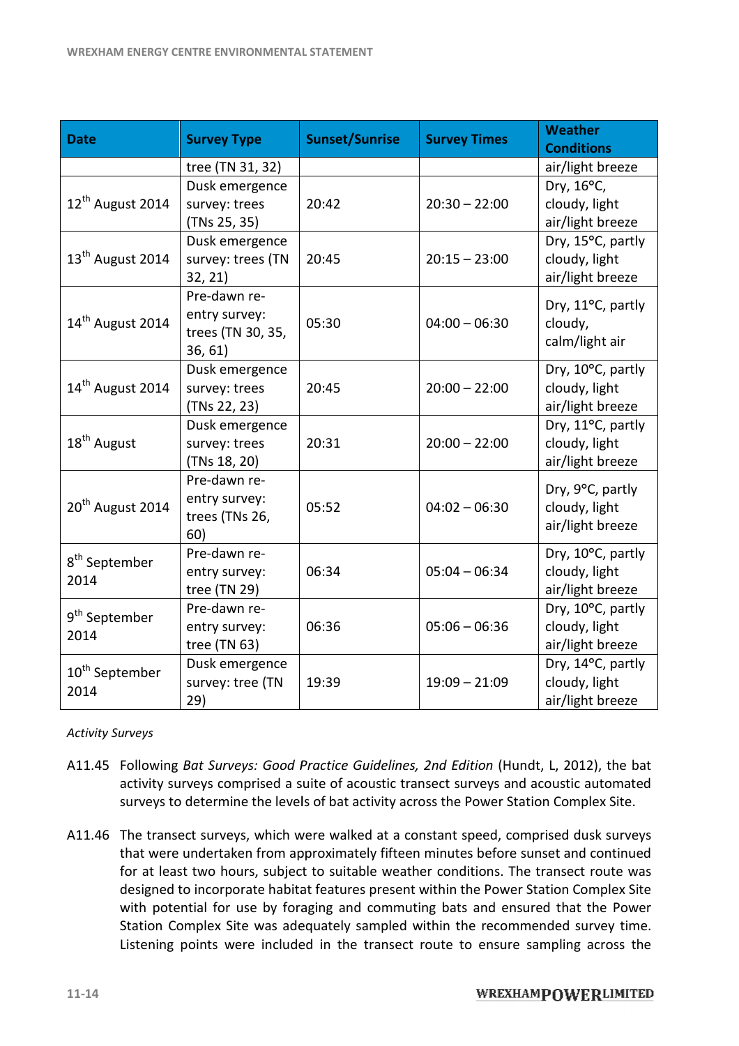| <b>Date</b>                                                                                                                                                                                                                                                                                                                                                                                                                                                                                                                                                                                                                           | <b>Survey Type</b>                                                    | <b>Sunset/Sunrise</b>                                  | <b>Survey Times</b>                                    | <b>Weather</b><br><b>Conditions</b>                    |
|---------------------------------------------------------------------------------------------------------------------------------------------------------------------------------------------------------------------------------------------------------------------------------------------------------------------------------------------------------------------------------------------------------------------------------------------------------------------------------------------------------------------------------------------------------------------------------------------------------------------------------------|-----------------------------------------------------------------------|--------------------------------------------------------|--------------------------------------------------------|--------------------------------------------------------|
|                                                                                                                                                                                                                                                                                                                                                                                                                                                                                                                                                                                                                                       | tree (TN 31, 32)                                                      |                                                        |                                                        | air/light breeze                                       |
| 12 <sup>th</sup> August 2014                                                                                                                                                                                                                                                                                                                                                                                                                                                                                                                                                                                                          | Dusk emergence<br>survey: trees<br>(TNs 25, 35)                       | 20:42                                                  | $20:30 - 22:00$                                        | Dry, 16°C,<br>cloudy, light<br>air/light breeze        |
| 13 <sup>th</sup> August 2014                                                                                                                                                                                                                                                                                                                                                                                                                                                                                                                                                                                                          | Dusk emergence<br>survey: trees (TN<br>32, 21)                        | 20:45                                                  | $20:15 - 23:00$                                        | Dry, 15°C, partly<br>cloudy, light<br>air/light breeze |
| 14 <sup>th</sup> August 2014                                                                                                                                                                                                                                                                                                                                                                                                                                                                                                                                                                                                          | Pre-dawn re-<br>entry survey:<br>trees (TN 30, 35,<br>36, 61)         | 05:30                                                  | $04:00 - 06:30$                                        | Dry, 11°C, partly<br>cloudy,<br>calm/light air         |
| 14 <sup>th</sup> August 2014                                                                                                                                                                                                                                                                                                                                                                                                                                                                                                                                                                                                          | Dusk emergence<br>survey: trees<br>(TNs 22, 23)                       | 20:45                                                  | $20:00 - 22:00$                                        | Dry, 10°C, partly<br>cloudy, light<br>air/light breeze |
| 18 <sup>th</sup> August                                                                                                                                                                                                                                                                                                                                                                                                                                                                                                                                                                                                               | Dusk emergence<br>survey: trees<br>(TNs 18, 20)                       | 20:31                                                  | $20:00 - 22:00$                                        | Dry, 11°C, partly<br>cloudy, light<br>air/light breeze |
| 20 <sup>th</sup> August 2014                                                                                                                                                                                                                                                                                                                                                                                                                                                                                                                                                                                                          | Pre-dawn re-<br>entry survey:<br>trees (TNs 26,<br>60)                | 05:52                                                  | $04:02 - 06:30$                                        | Dry, 9°C, partly<br>cloudy, light<br>air/light breeze  |
| 8 <sup>th</sup> September<br>2014                                                                                                                                                                                                                                                                                                                                                                                                                                                                                                                                                                                                     | Pre-dawn re-<br>entry survey:<br>tree (TN 29)                         | 06:34                                                  | $05:04 - 06:34$                                        | Dry, 10°C, partly<br>cloudy, light<br>air/light breeze |
| Pre-dawn re-<br>9 <sup>th</sup> September<br>$05:06 - 06:36$<br>06:36<br>entry survey:<br>2014<br>tree $(TN 63)$                                                                                                                                                                                                                                                                                                                                                                                                                                                                                                                      |                                                                       | Dry, 10°C, partly<br>cloudy, light<br>air/light breeze |                                                        |                                                        |
| 10 <sup>th</sup> September<br>2014                                                                                                                                                                                                                                                                                                                                                                                                                                                                                                                                                                                                    | Dusk emergence<br>survey: tree (TN<br>19:39<br>$19:09 - 21:09$<br>29) |                                                        | Dry, 14°C, partly<br>cloudy, light<br>air/light breeze |                                                        |
| <b>Activity Surveys</b>                                                                                                                                                                                                                                                                                                                                                                                                                                                                                                                                                                                                               |                                                                       |                                                        |                                                        |                                                        |
| A11.45 Following Bat Surveys: Good Practice Guidelines, 2nd Edition (Hundt, L, 2012), the bat<br>activity surveys comprised a suite of acoustic transect surveys and acoustic automated<br>surveys to determine the levels of bat activity across the Power Station Complex Site.                                                                                                                                                                                                                                                                                                                                                     |                                                                       |                                                        |                                                        |                                                        |
| The transect surveys, which were walked at a constant speed, comprised dusk surveys<br>A11.46<br>that were undertaken from approximately fifteen minutes before sunset and continued<br>for at least two hours, subject to suitable weather conditions. The transect route was<br>designed to incorporate habitat features present within the Power Station Complex Site<br>with potential for use by foraging and commuting bats and ensured that the Power<br>Station Complex Site was adequately sampled within the recommended survey time.<br>Listening points were included in the transect route to ensure sampling across the |                                                                       |                                                        |                                                        |                                                        |

#### *Activity Surveys*

- A11.45 Following Bat Surveys: Good Practice Guidelines, 2nd Edition (Hundt, L, 2012), the bat activity surveys comprised a suite of acoustic transect surveys and acoustic automated<br>surveys to determine the levels of bat activity across the Power Station Complex Site. surveys to determine the levels of bat activity across the Power Station Complex Site.
- A11.46 The transect surveys, which were walked at a constant speed, comprised dusk surveys that were undertaken from approximately fifteen minutes before sunset and continued for at least two hours, subject to suitable weather conditions. The transect route was designed to incorporate habitat features present within the Power Station Complex Site with potential for use by foraging and commuting bats and ensured that the Power<br>Station Complex Site was adequately sampled within the recommended survey time. Station Complex Site was adequately sampled within the recommended survey time. Listening points were included in the transect route to ensure sampling across the t, L, 2012), the bat<br>acoustic automated<br>on Complex Site.<br>prised dusk surveys<br>nset and continued<br>transect route was<br>tation Complex Site<br>red that the Power<br>ended survey time.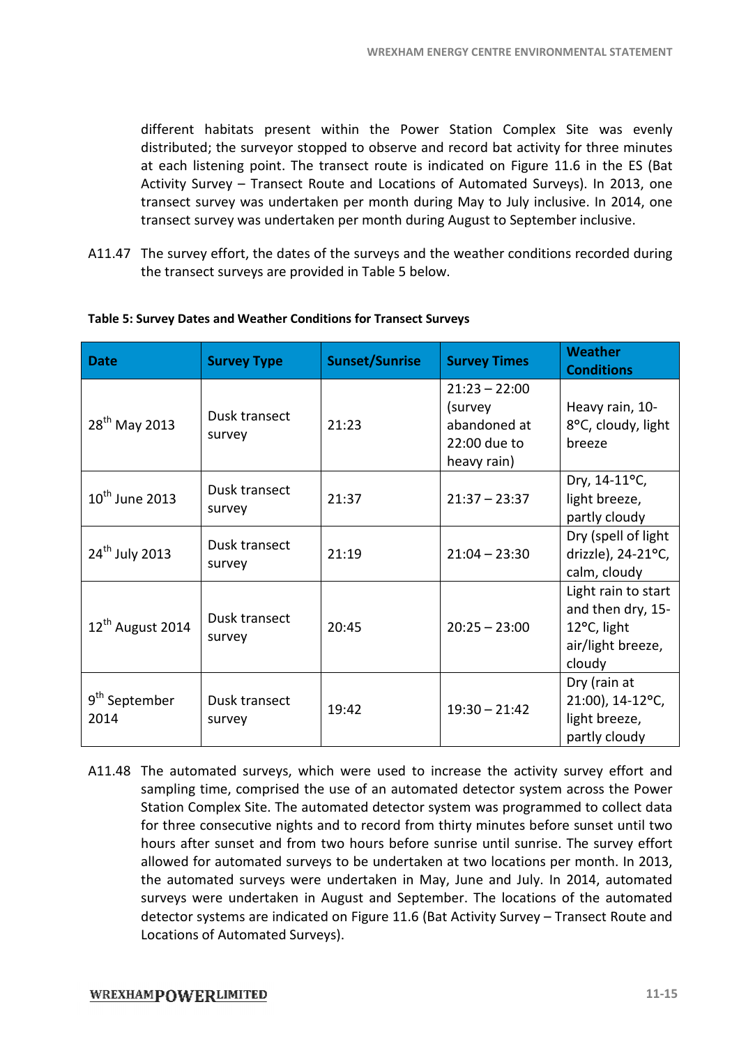different habitats present within the Power Station Complex Site was evenly distributed; the surveyor stopped to observe and record bat activity for three minutes at each listening point. The transect route is indicated on Figure 11.6 in the ES (Bat Activity Survey – Transect Route and Locations of Automated Surveys). In 2013, one Activity Survey – Transect Route and Locations of Automated Surveys). In 2013, one<br>transect survey was undertaken per month during May to July inclusive. In 2014, one transect survey was undertaken per month during August to September inclusive.

A11.47 The survey effort, the dates of the surveys and the weather conditions recorded during the transect surveys are provided in Table 5 below.

| <b>Date</b>                       | <b>Survey Type</b>      | <b>Sunset/Sunrise</b> | <b>Survey Times</b>                                                       | <b>Weather</b><br><b>Conditions</b>                                                    |
|-----------------------------------|-------------------------|-----------------------|---------------------------------------------------------------------------|----------------------------------------------------------------------------------------|
| 28 <sup>th</sup> May 2013         | Dusk transect<br>survey | 21:23                 | $21:23 - 22:00$<br>(survey<br>abandoned at<br>22:00 due to<br>heavy rain) | Heavy rain, 10-<br>8°C, cloudy, light<br>breeze                                        |
| $10^{\text{th}}$ June 2013        | Dusk transect<br>survey | 21:37                 | $21:37 - 23:37$                                                           | Dry, 14-11°C,<br>light breeze,<br>partly cloudy                                        |
| 24 <sup>th</sup> July 2013        | Dusk transect<br>survey | 21:19                 | $21:04 - 23:30$                                                           | Dry (spell of light<br>drizzle), 24-21°C,<br>calm, cloudy                              |
| 12 <sup>th</sup> August 2014      | Dusk transect<br>survey | 20:45                 | $20:25 - 23:00$                                                           | Light rain to start<br>and then dry, 15-<br>12°C, light<br>air/light breeze,<br>cloudy |
| 9 <sup>th</sup> September<br>2014 | Dusk transect<br>survey | 19:42                 | $19:30 - 21:42$                                                           | Dry (rain at<br>21:00), 14-12°C,<br>light breeze,<br>partly cloudy                     |

#### **Table 5: Survey Dates and Weather Conditions for Transect Surveys**

A11.48 The automated surveys, which were used to increase the activity survey effort and sampling time, comprised the use of an automated detector system across the Power sampling time, comprised the use of an automated detector system across the Power<br>Station Complex Site. The automated detector system was programmed to collect data for three consecutive nights and to record from thirty minutes before sunset until two hours after sunset and from two hours before sunrise until sunrise. The survey effort allowed for automated surveys to be undertaken at two locations per month. In 2013, the automated surveys were undertaken in May, June and July. In 2014, automated surveys were undertaken in August and September. The locations of the automated detector systems are indicated on Figure 11.6 (Bat Activity Survey - Transect Route and Locations of Automated Surveys).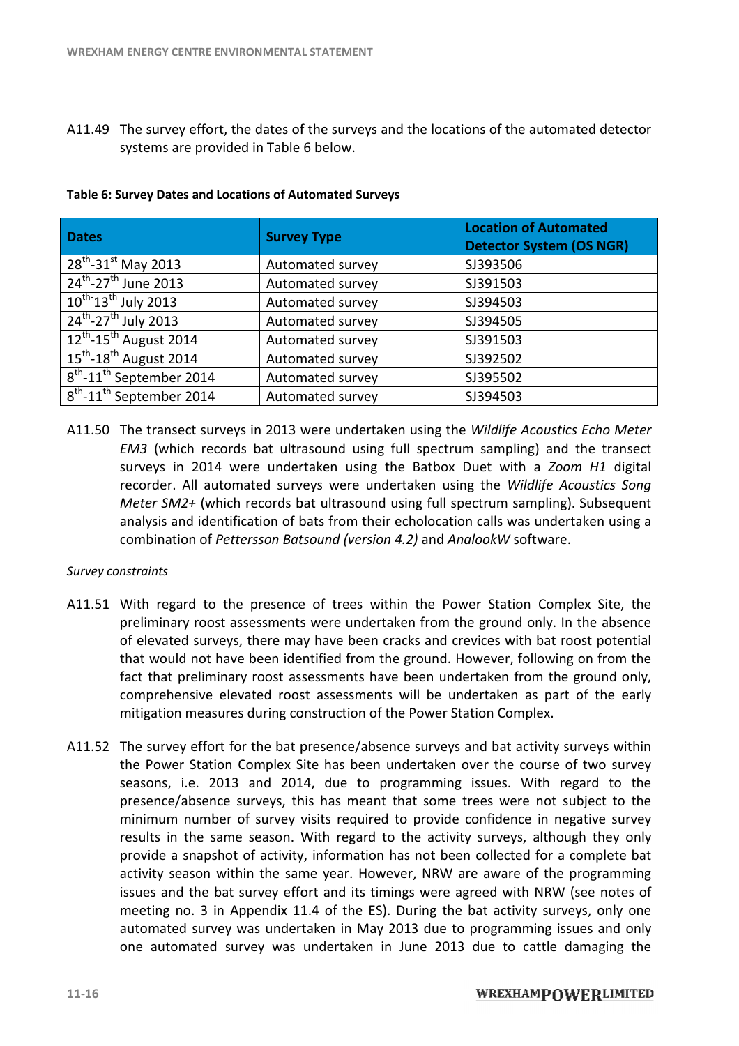A11.49 The survey effort, the dates of the surveys and the locations of the automated detector systems are provided in Table 6 below. 6

| <b>Dates</b>                                     | <b>Survey Type</b> | <b>Location of Automated</b><br><b>Detector System (OS NGR)</b> |
|--------------------------------------------------|--------------------|-----------------------------------------------------------------|
| $28^{th}$ -31st May 2013                         | Automated survey   | SJ393506                                                        |
| 24 <sup>th</sup> -27 <sup>th</sup> June 2013     | Automated survey   | SJ391503                                                        |
| $10^{th}$ 13 <sup>th</sup> July 2013             | Automated survey   | SJ394503                                                        |
| 24 <sup>th</sup> -27 <sup>th</sup> July 2013     | Automated survey   | SJ394505                                                        |
| $\sqrt{12^{th}-15^{th}}$ August 2014             | Automated survey   | SJ391503                                                        |
| $15^{\text{th}}$ -18 <sup>th</sup> August 2014   | Automated survey   | SJ392502                                                        |
| $8th$ -11 <sup>th</sup> September 2014           | Automated survey   | SJ395502                                                        |
| $\sqrt{8^{th}}$ -11 <sup>th</sup> September 2014 | Automated survey   | SJ394503                                                        |

#### **Table 6: Survey Dates and Locations of Automated Surveys**

A11.50 The transect surveys in 2013 were undertaken using the Wildlife Acoustics Echo Meter EM3 (which records bat ultrasound using full spectrum sampling) and the surveys in 2014 were undertaken using the Batbox Duet with a Zoom H1 digital recorder. All automated surveys were undertaken using the Wildlife Acoustics Song Meter SM2+ (which records bat ultrasound using full spectrum sampling). Subsequent analysis and identification of bats from their echolocation calls was undertaken using a combination of *Pettersson Batsound (version 4.2)* and *AnalookW* software.

#### *Survey constraints*

- A11.51 With regard to the presence of trees within the Power Station Complex Site, the preliminary roost assessments were undertaken from the ground only. In the absence<br>of elevated surveys, there may have been cracks and crevices with bat roost potential of elevated surveys, there may have been cracks and crevices with bat roost potential that would not have been identified from the ground. However, following on from the fact that preliminary roost assessments have been undertaken from the ground only, comprehensive elevated roost assessments will be undertaken as part of the early mitigation measures during construction of the Power Station Complex fact that preliminary roost assessments have been undertaken from the ground only, comprehensive elevated roost assessments will be undertaken as part of the early mitigation measures during construction of the Power Stati
- A11.52 The survey effort for the bat presence/absence surveys and bat activity surveys within the Power Station Complex Site has been undertaken over the course of two survey seasons, i.e. 2013 and 2014, due to programming issues. With regard to the presence/absence surveys, this has meant that some trees were not subject to the minimum number of survey visits required to provide confidence in negative survey minimum number of survey visits required to provide confidence in negative survey<br>results in the same season. With regard to the activity surveys, although they only provide a snapshot of activity, information has not been collected for a complete bat activity season within the same year. However, NRW are aware of the programming issues and the bat survey effort and its timings were agreed with NRW (see notes of issues and the bat survey effort and its timings were agreed with NRW (see notes of meeting no. 3 in Appendix 11.4 of the ES). During the bat activity surveys, only one automated survey was undertaken in May 2013 due to programming issues and only one automated survey was undertaken in June 2013 due to cattle damaging the The survey of fort, the dates of the surveys sind the locations of the automated detector<br>
systems are provided in Table 6 below.<br> **Survey Type**<br> **Survey Type**<br> **Location of Automnated Survey**<br> **Location of Automnated Surv** ence of trees within the Power Station Complex Site,<br>nents were undertaken from the ground only. In the abse<br>a may have been cracks and crevices with bat roost potet<br>n identified from the ground. However, following on from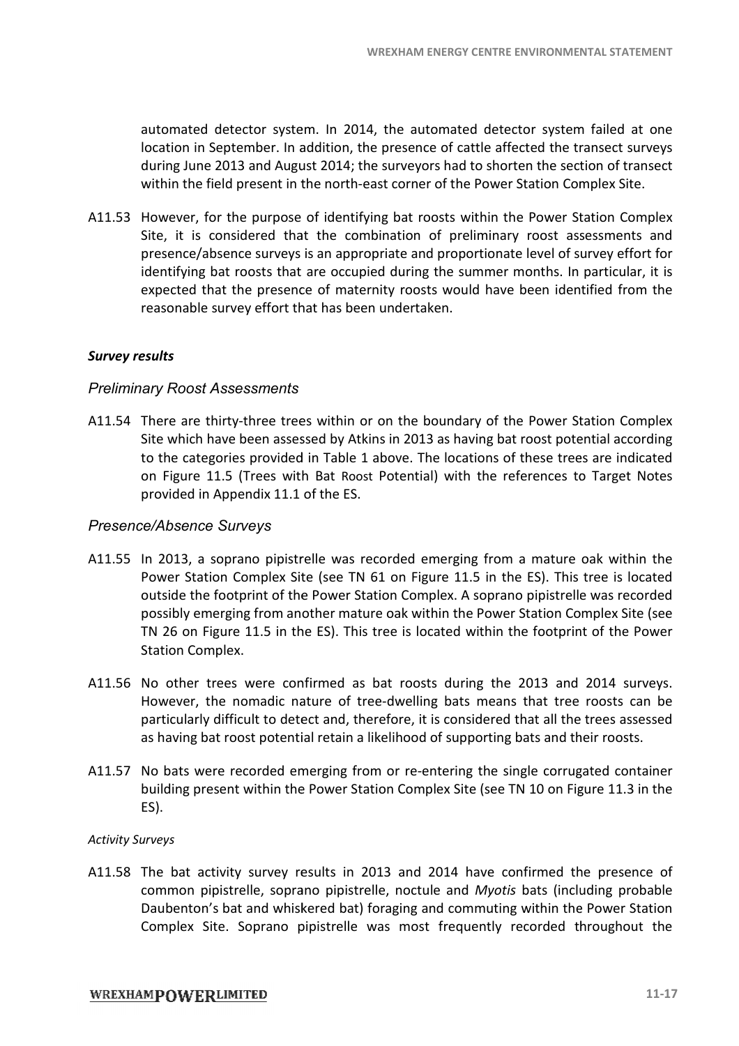automated detector system. In 2014, the automated detector system failed at one location in September. In addition, the presence of cattle affected the transect surveys during June 2013 and August 2014; the surveyors had to shorten the section of transect<br>within the field present in the north-east corner of the Power Station Complex Site. within the field present in the north-east corner of the Power Station Complex Site.

A11.53 However, for the purpose of identifying bat roosts within the Power Station Complex Site, it is considered that the combination of preliminary roost assessments and presence/absence surveys is an appropriate and proportionate level of survey effort for identifying bat roosts that are occupied during the summer months. In particular, it is expected that the presence of maternity roosts would have been identified from the reasonable survey effort that has been undertaken. that the presence of maternity roosts would have been identified from<br>e survey effort that has been undertaken.<br>threeon the boundary of the Power Station Com<br>thirty-three trees within or on the boundary of the Power Statio ne automated detector system failed at c<br>resence of cattle affected the transect surver<br>prevors had to shorten the section of trans<br>corner of the Power Station Complex Site.<br>bat roosts within the Power Station Complex<br>ste.

#### *Survey results*

#### *Preliminary Roost Assessments*

A11.54 There are thirty-three trees within or on the boundary of the Power Station Complex Site which have been assessed by Atkins in 2013 as having bat roost potential according Site which have been assessed by Atkins in 2013 as having bat roost potential according<br>to the categories provided in Table 1 above. The locations of these trees are indicated on Figure 11.5 (Trees with Bat Roost Potential) with the references to Target Notes provided in Appendix 11.1 of the ES.

#### *Presence/Absence Surveys*

- A11.55 In 2013, a soprano pipistrelle was recorded emerging from a mature oak within the Power Station Complex Site (see TN 61 on Figure 11.5 in the ES). This tree is located<br>outside the footprint of the Power Station Complex. A soprano pipistrelle was recorded<br>possibly emerging from another mature oak within outside the footprint of the Power Station Complex. A soprano pipistrelle was recorded possibly emerging from another mature oak within the Power Station Complex Site TN 26 on Figure 11.5 in the ES). This tree is located within the footprint of the Power Station Complex. ENERGY CENTRE ENVIRONMENTAL STATEI<br>atcord do shorten the section of transect<br>and to shorten the section of transect<br>sorts of the Power Station Complex Site:<br>coosts within the Power Station Complex<br>and to pole and the power
- A11.56 No other trees were confirmed as bat roosts during the 2013 and 2014 surveys. No other trees were confirmed as bat roosts during the 2013 and 2014 surveys.<br>However, the nomadic nature of tree-dwelling bats means that tree roosts can be particularly difficult to detect and, therefore, it is considered that all the trees assessed as having bat roost potential retain a likelihood of supporting bats and their roosts.
- as having bat roost potential retain a likelihood of supporting bats and their roosts.<br>A11.57 No bats were recorded emerging from or re-entering the single corrugated container building present within the Power Station Complex Site (see TN 10 on Figure 11.3 in the ES).

#### *Activity Surveys*

A11.58 The bat activity survey results in 2013 and 2014 have confirmed the presence of common pipistrelle, soprano pipistrelle, noctule and Myotis bats (including probable Daubenton's bat and whiskered bat) foraging and commuting within the Power Station Complex Site. Soprano pipistrelle was most frequently recorded throughout the building present within the Power Station Complex Site (see TN 10 on Figure 11.3 in the<br>ES).<br>*urveys*<br>The bat activity survey results in 2013 and 2014 have confirmed the presence of<br>common pipistrelle, soprano pipistrelle,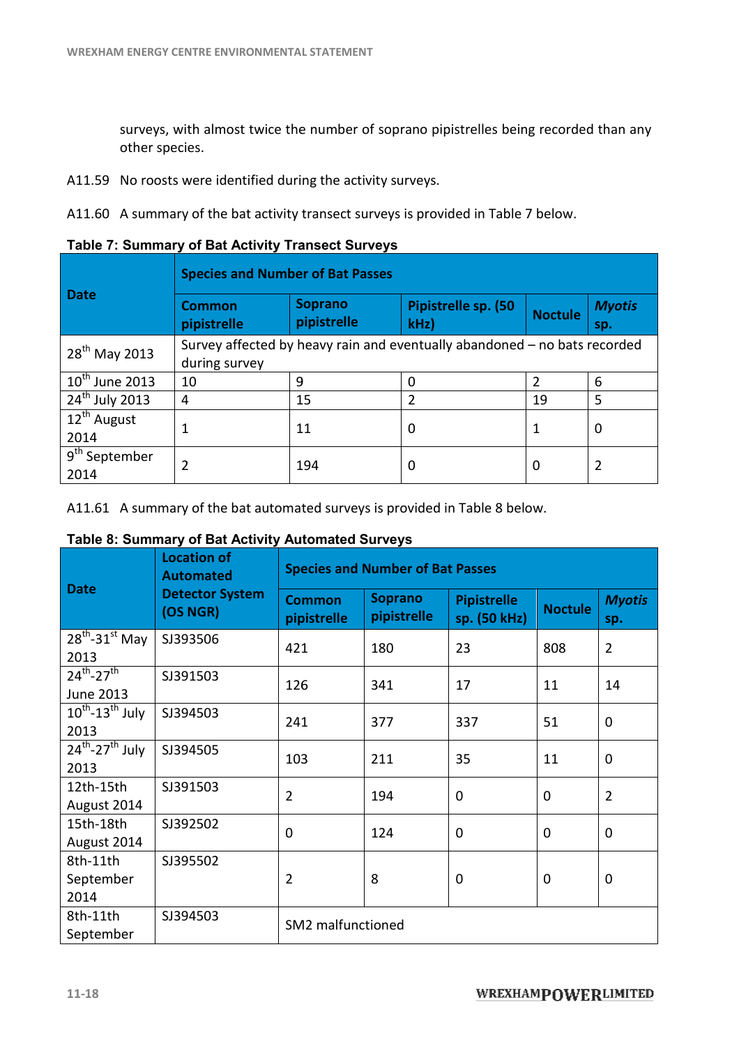surveys, with almost twice the number of soprano pipistrelles being recorded than any other species. surveys, with almost twice the number of soprano pipistrelles being recorded than<br>other species.<br>A11.59 No roosts were identified during the activity surveys.<br>A11.60 A summary of the bat activity transect surveys is provid

A11.59 No roosts were identified during the activity surveys.

**Table 7: Summary of Bat Activity Transe Transect Surveys** 

|                                   | <b>Species and Number of Bat Passes</b>                                                    |                            |                |                      |   |
|-----------------------------------|--------------------------------------------------------------------------------------------|----------------------------|----------------|----------------------|---|
| Date                              | <b>Common</b><br>pipistrelle                                                               | Pipistrelle sp. (50<br>kHz | <b>Noctule</b> | <b>Myotis</b><br>sp. |   |
| 28 <sup>th</sup> May 2013         | Survey affected by heavy rain and eventually abandoned - no bats recorded<br>during survey |                            |                |                      |   |
| $10^{\text{th}}$ June 2013        | 10                                                                                         | 9                          | 0              |                      | 6 |
| $24th$ July 2013                  | 4                                                                                          | 15                         | $\mathfrak z$  | 19                   | 5 |
| 12 <sup>th</sup> August<br>2014   |                                                                                            | 11                         | 0              | 1                    | 0 |
| 9 <sup>th</sup> September<br>2014 |                                                                                            | 194                        | 0              | 0                    | 2 |

A11.61 A summary of the bat automated surveys is provided in Table 8 below.

#### **Table 8: Summary of Bat Activity Automated Surveys**

| <b>Date</b>                                         | <b>Location of</b><br><b>Automated</b><br><b>Detector System</b><br>(OS NGR) | <b>Species and Number of Bat Passes</b> |                               |                                    |                |                      |  |
|-----------------------------------------------------|------------------------------------------------------------------------------|-----------------------------------------|-------------------------------|------------------------------------|----------------|----------------------|--|
|                                                     |                                                                              | <b>Common</b><br>pipistrelle            | <b>Soprano</b><br>pipistrelle | <b>Pipistrelle</b><br>sp. (50 kHz) | <b>Noctule</b> | <b>Myotis</b><br>sp. |  |
| $28^{th}$ -31st May<br>2013                         | SJ393506                                                                     | 421                                     | 180                           | 23                                 | 808            | $\overline{2}$       |  |
| $24^{th} - 27^{th}$<br>June 2013                    | SJ391503                                                                     | 126                                     | 341                           | 17                                 | 11             | 14                   |  |
| $10^{th}$ -13 <sup>th</sup> July<br>2013            | SJ394503                                                                     | 241                                     | 377                           | 337                                | 51             | 0                    |  |
| $\overline{24^{th}}$ -27 <sup>th</sup> July<br>2013 | SJ394505                                                                     | 103                                     | 211                           | 35                                 | 11             | 0                    |  |
| 12th-15th<br>August 2014                            | SJ391503                                                                     | $\overline{2}$                          | 194                           | 0                                  | $\Omega$       | $\overline{2}$       |  |
| 15th-18th<br>August 2014                            | SJ392502                                                                     | $\overline{0}$                          | 124                           | 0                                  | 0              | 0                    |  |
| 8th-11th<br>September<br>2014                       | SJ395502                                                                     | $\overline{2}$                          | 8                             | $\mathbf 0$                        | 0              | 0                    |  |
| 8th-11th<br>September                               | SJ394503                                                                     | SM2 malfunctioned                       |                               |                                    |                |                      |  |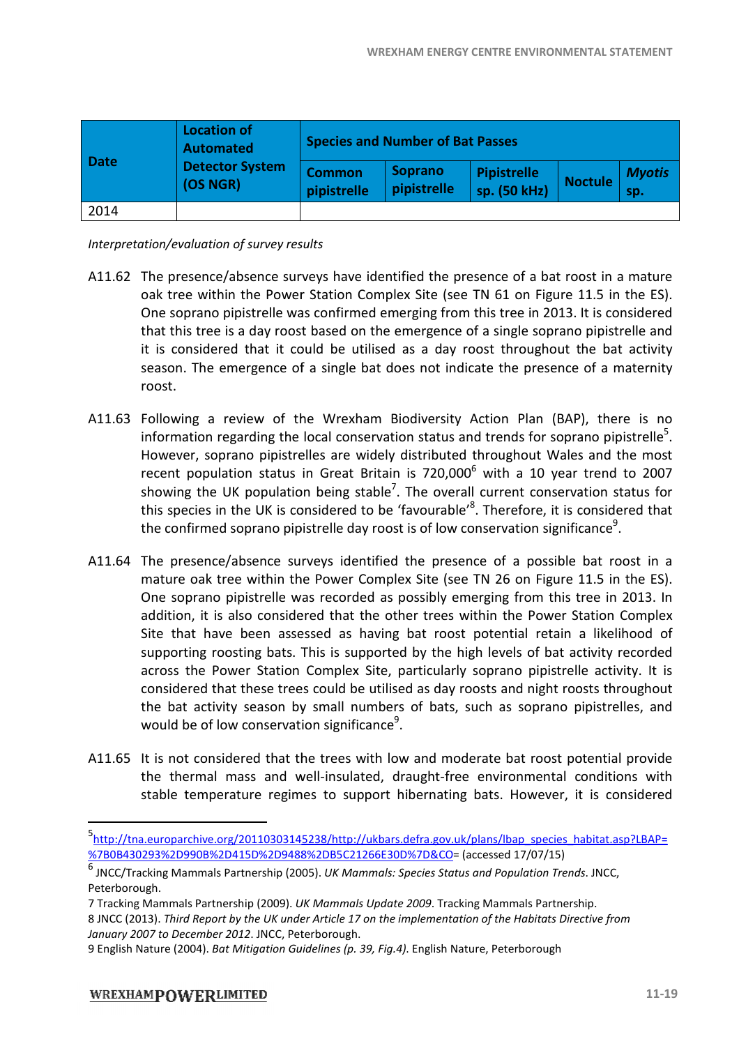| <b>Date</b> | <b>Location of</b><br><b>Automated</b><br><b>Detector System</b><br>(OS NGR) | <b>Species and Number of Bat Passes</b> |                        |                                    |                |                      |  |
|-------------|------------------------------------------------------------------------------|-----------------------------------------|------------------------|------------------------------------|----------------|----------------------|--|
|             |                                                                              | <b>Common</b><br>pipistrelle            | Soprano<br>pipistrelle | <b>Pipistrelle</b><br>sp. (50 kHz) | <b>Noctule</b> | <b>Myotis</b><br>sp. |  |
| 2014        |                                                                              |                                         |                        |                                    |                |                      |  |

*Interpretation/evaluation of survey results results*

- A11.62 The presence/absence surveys have identified the presence of a bat roost in a mature oak tree within the Power Station Complex Site (see TN 61 on Figure 11.5 in the ES). One soprano pipistrelle was confirmed emerging from this tree in 2013. It is considered that this tree is a day roost based on the emergence of a single soprano pipistrelle and it is considered that it could be utilised as a day roost throughout the bat activity<br>season. The emergence of a single bat does not indicate the presence of a maternity season. The emergence of a single bat does not indicate the roost.
- A11.63 Following a review of the Wrexham Biodiversity Action Plan (BAP), there is no information regarding the local conservation status and trends for soprano pipistrelle<sup>5</sup>. Following a review of the Wrexham Biodiversity Action Plan (BAP), there is no<br>information regarding the local conservation status and trends for soprano pipistrelle<sup>5</sup>.<br>However, soprano pipistrelles are widely distributed recent population status in Great Britain is  $720,000^6$  with a 10 year trend to 2007 showing the UK population being stable<sup>7</sup>. The overall current conservation status for recent population status in Great Britain is 720,000<sup>6</sup> with a 10 year trend to 2007<br>showing the UK population being stable<sup>7</sup>. The overall current conservation status for<br>this species in the UK is considered to be 'favour the confirmed soprano pipistrelle day roost is of low conservation significance<sup>9</sup>.
- A11.64 The presence/absence surveys identified the presence of a possible bat roost in a mature oak tree within the Power Complex Site (see TN 26 on Figure 11.5 in the ES). One soprano pipistrelle was recorded as possibly emerging from this tree in 2013. In addition, it is also considered that the other trees within the Power Station Complex addition, it is also considered that the other trees within the Power Station Complex<br>Site that have been assessed as having bat roost potential retain a likelihood of supporting roosting bats. This is supported by the high levels of bat activity recorded across the Power Station Complex Site, particularly soprano pipistrelle activity. It is Site that have been assessed as having bat roost potential retain a likelihood of supporting roosting bats. This is supported by the high levels of bat activity recorded across the Power Station Complex Site, particularly the bat activity season by small numbers of bats, such as soprano pipistrelles, and would be of low conservation significance<sup>9</sup>.
- A11.65 It is not considered that the trees with low and moderate bat roost potential provide the thermal mass and well-insulated, draught-free environmental conditions with stable temperature regimes to support hibernating bats. However, it is considered ts, such as soprano pipistrelles<br>moderate bat roost potential pr<br>free environmental conditions

l

<sup>5</sup> [http://tna.europarchive.org/20110303145238/http://ukbars.defra.gov.uk/plans/lbap\\_species\\_habitat.asp?LBAP=](http://tna.europarchive.org/20110303145238/http://ukbars.defra.gov.uk/plans/lbap_species_habitat.asp?LBAP=) %7B0B430293%2D990B%2D415D%2D9488%2DB5C21266E30D%7D&CO %7B0B430293%2D990B%2D415D%2D9488%2DB5C21266E30D%7D&CO= (accessed 17/07/15)

<sup>&</sup>lt;sup>6</sup> JNCC/Tracking Mammals Partnership (2005). *UK Mammals: Species Status and Population Trends.* JNCC, Peterborough.

<sup>7</sup> Tracking Mammals Partnership (2009). UK Mammals Update 2009. Tracking Mammals Partnership.

<sup>8</sup> JNCC (2013). *Third Report by the UK under Article 17 on the Report bythe under on implementation of the Habitats Directive from January 2007 to December 2012*. JNCC, Peterborough. Peterborough.

<sup>9</sup> English Nature (2004). *Bat Mitigation Guidelines (p. 39, Fig.4) (p.39,* . English Nature, Peterborough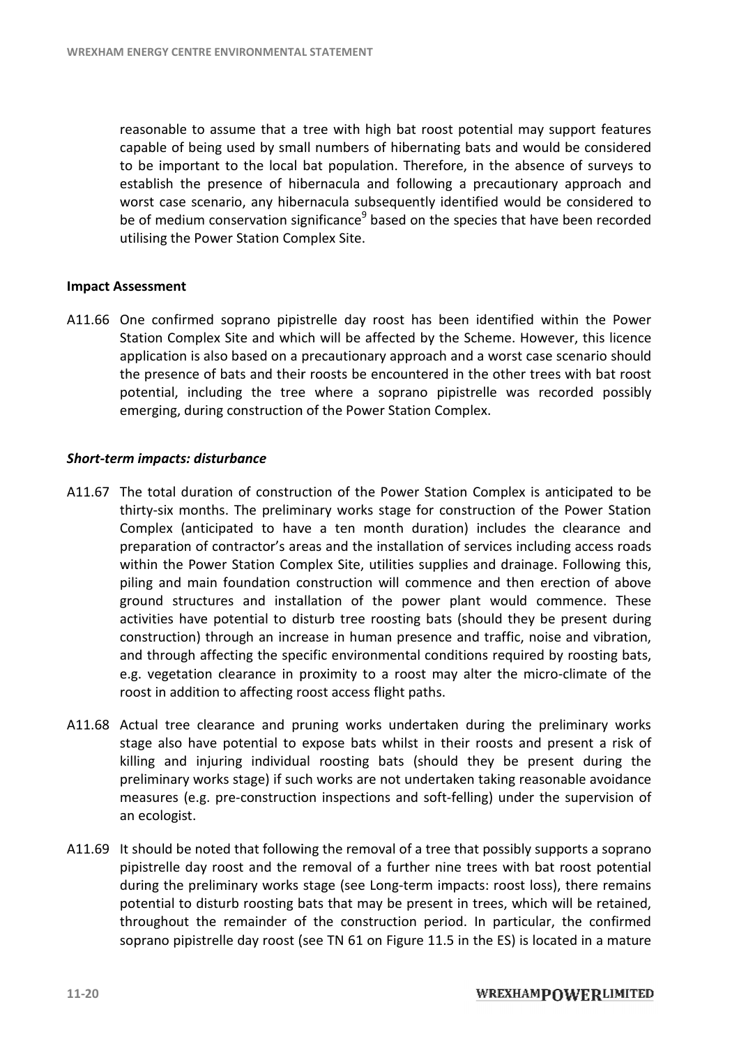reasonable to assume that a tree with high bat roost potential may support features capable of being used by small numbers of hibernating bats and would be considered reasonable to assume that a tree with high bat roost potential may support features<br>capable of being used by small numbers of hibernating bats and would be considered<br>to be important to the local bat population. Therefore, establish the presence of hibernacula and following a precautionary approach and worst case scenario, any hibernacula subsequently identified would be considered to to be important to the local bat population. Therefore, in the absence of surveys to establish the presence of hibernacula and following a precautionary approach and worst case scenario, any hibernacula subsequently identi utilising the Power Station Complex Site.

#### **Impact Assessment**

utilising the Power Station Complex Site.<br> **Impact Assessment**<br>
A11.66 One confirmed soprano pipistrelle day roost has been identified within the Power Station Complex Site and which will be affected by the Scheme. However, this licence application is also based on a precautionary approach and a worst case scenario should the presence of bats and their roosts be encountered in the other trees with bat roost potential, including the tree where a soprano pipistrelle was recorded possibly<br>emerging, during construction of the Power Station Complex.<br>The total duration of construction of the Power Station Complex is anticipated to emerging, during construction of the Power Station Complex.

#### *Short-term impacts: disturbance*

- A11.67 The total duration of construction of the Power Station Complex is anticipated to be thirty-six months. The preliminary works stage for construction of the Power Station The total duration of construction of the Power Station Complex is anticipated to be<br>thirty-six months. The preliminary works stage for construction of the Power Station<br>Complex (anticipated to have a ten month duration) i preparation of contractor's areas and the installation of services including access roads within the Power Station Complex Site, utilities supplies and drainage. Following this, piling and main foundation construction will commence and then erection of above ground structures and installation of the power plant would commence. These activities have potential to disturb tree roosting bats (should they be present during construction) through an increase in human presence and traffic, noise and vibration, and through affecting the specific environmental conditions required by roosting bats, e.g. vegetation clearance in proximity to a roost may alter the micro-climate of the roost in addition to affecting roost access flight paths. preparation of contractor's areas and the installation of services including aconthin the Power Station Complex Site, utilities supplies and drainage. Follo<br>piling and main foundation construction will commence and then er activities have potential to disturb tree roosting bats (should they be present c<br>construction) through an increase in human presence and traffic, noise and vibr<br>and through affecting the specific environmental conditions
- roost in addition to affecting roost access flight paths.<br>A11.68 Actual tree clearance and pruning works undertaken during the preliminary works stage also have potential to expose bats whilst in their roosts and present a risk of killing and injuring individual roosting bats (should they be present during the<br>preliminary works stage) if such works are not undertaken taking reasonable avoidance<br>measures (e.g. pre-construction inspections and soft-fe preliminary works stage) if such works are not undertaken taking reasonable avoidance measures (e.g. pre-construction inspections and soft-felling) under the supervision an ecologist. roximity to a roost may alter the micro-climate<br>ost access flight paths.<br>uning works undertaken during the preliminary<br>xpose bats whilst in their roosts and present a
- A11.69 It should be noted that following the removal of a tree that possibly supports a soprano pipistrelle day roost and the removal of a further nine trees with bat roost potential during the preliminary works stage (see Long-term impacts: roost loss), there remains potential to disturb roosting bats that may be present in trees, which will be retained, throughout the remainder of the construction period. In particular, the confirmed throughout the remainder of the construction period. In particular, the confirmed<br>soprano pipistrelle day roost (see TN 61 on Figure 11.5 in the ES) is located in a mature term impacts: roost loss),<br>present in trees, which w<br>on period. In particular,<br>ure 11.5 in the ES) is locat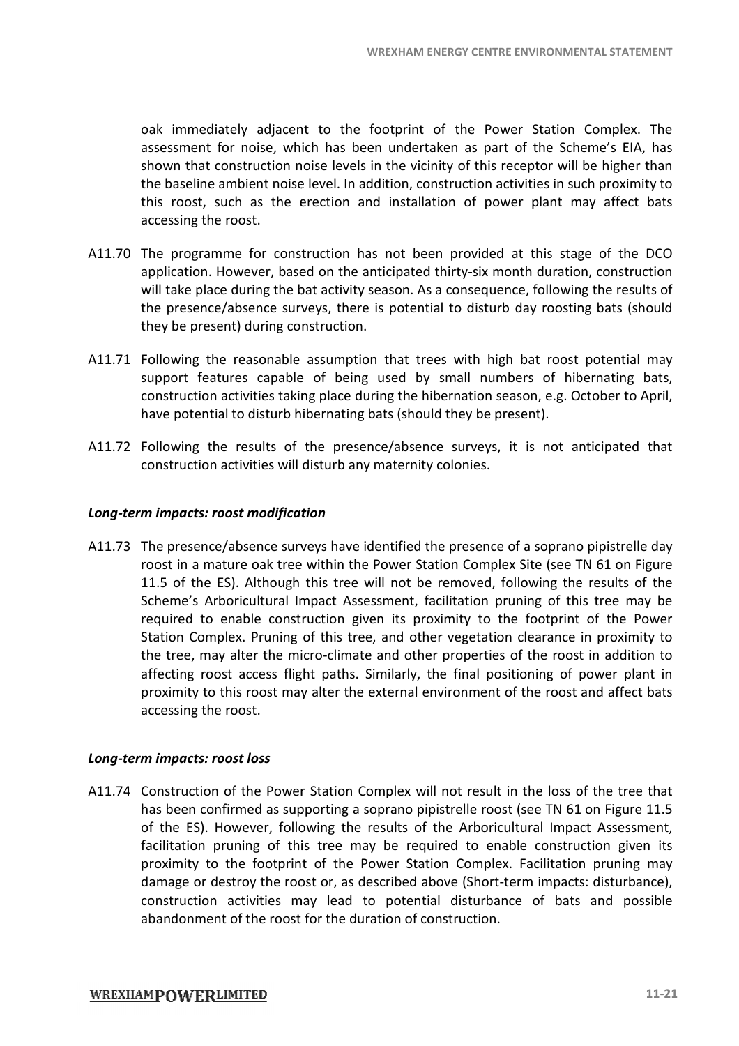oak immediately adjacent to the footprint of the Power Station Complex. The oak immediately adjacent to the footprint of the Power Station Complex. The assessment for noise, which has been undertaken as part of the Scheme's EIA, has shown that construction noise levels in the vicinity of this receptor will be higher than the baseline ambient noise level. In addition, construction activities in such proximity to this roost, such as the erection and installation of power plant may affect bats accessing the roost.

- A11.70 The programme for construction has not been provided at this stage of the DCO application. However, based on the anticipated thirty-six month duration, construction application. However, based on the anticipated thirty-six month duration, construction<br>will take place during the bat activity season. As a consequence, following the results of the presence/absence surveys, there is potential to disturb day roosting bats (should they be present) during construction. they be present) during construction.
- A11.71 Following the reasonable assumption that trees with high bat roost potential may support features capable of being used by small numbers of hibernating bats, construction activities taking place during the hibernation season, e.g. October to April, have potential to disturb hibernating bats (should they be present).<br>Following the results of the presence/absence surveys, it is n have potential to disturb hibernating bats (should they be present). d by small numbers of hibernating bats,<br>the hibernation season, e.g. October to April,<br>(should they be present).<br>absence surveys, it is not anticipated that<br>ernity colonies.<br>fied the presence of a soprano pipistrelle day
- A11.72 Following the results of the presence/absence surveys, it is not anticipated that construction activities will disturb any maternity colonies.

#### *Long-term impacts: roost modification term impacts:*

A11.73 The presence/absence surveys have identified the presence of a soprano pipistrelle day roost in a mature oak tree within the Power Station Complex Site (see TN 61 on Figure roost in a mature oak tree within the Power Station Complex Site (see TN 61 on Figure 1.5 of the ES). Although this tree will not be removed, following the results of the Scheme's Arboricultural Impact Assessment, facilitation pruning of this tree may be required to enable construction given its proximity to the footprint of the Power required to enable construction given its proximity to the footprint of the Power Station Complex. Pruning of this tree, and other vegetation clearance in proximity to the tree, may alter the micro-climate and other properties of the roost in addition to the tree, may alter the micro-climate and other properties of the roost in addition to affecting roost access flight paths. Similarly, the final positioning of power plant in proximity to this roost may alter the external environment of the roost and affect bats accessing the roost. WREXHAM ENERGY CENTRE ENVIRONMENTAL<br>to to the footprint of the Power Station Con<br>ch has been undertaken as part of the Scheme<br>isselevels in the vicinity of this receptor will be<br>level. In addition, construction activities

#### *Long-term impacts: roost loss*

A11.74 Construction of the Power Station Complex will not result in the loss of the tree that Construction of the Power Station Complex will not result in the loss of the tree that<br>has been confirmed as supporting a soprano pipistrelle roost (see TN 61 on Figure 11.5<br>of the ES). However, following the results of th of the ES). However, following the results of the Arboricultural Impact Assessment, facilitation pruning of this tree may be required to enable construction given its proximity to the footprint of the Power Station Complex. Facilitation pruning may damage or destroy the roost or, as described above (Short-term impacts: disturbance), damage or destroy the roost or, as described above (Short-term impacts: disturbance),<br>construction activities may lead to potential disturbance of bats and possible abandonment of the roost for the duration of construction.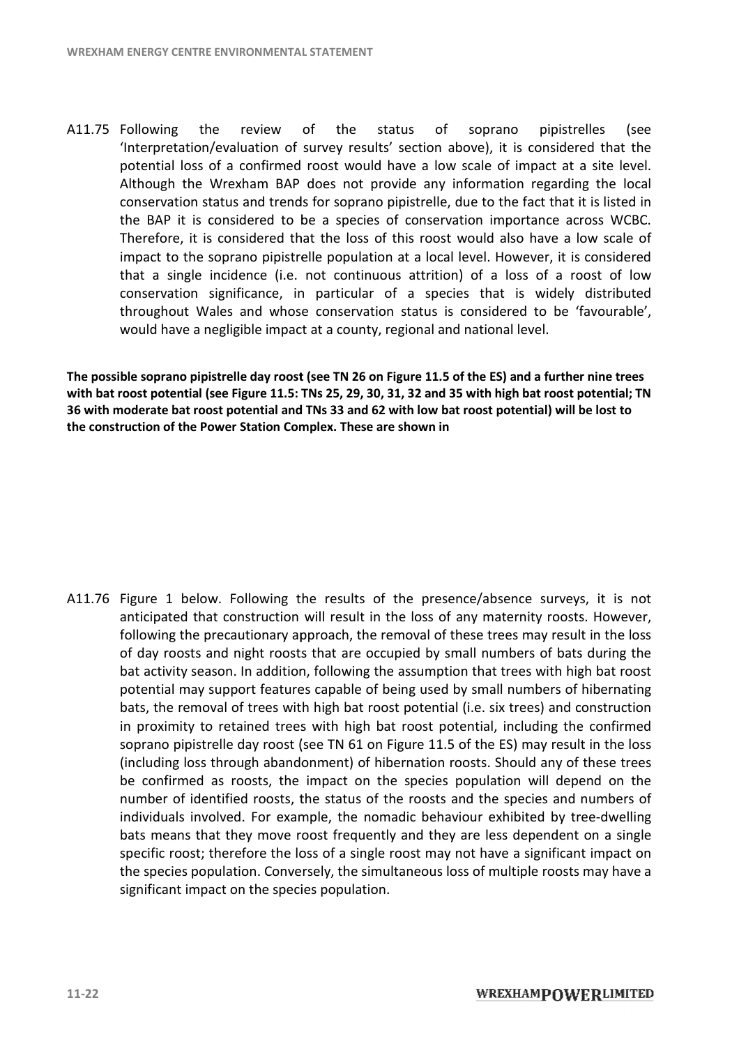A11.75 Following the review of the status of soprano pipistrelles (see 'Interpretation/evaluation of survey results' section above), it is considered that the 'Interpretation/evaluation of survey results' section above), it is considered that the<br>potential loss of a confirmed roost would have a low scale of impact at a site level. Although the Wrexham BAP does not provide any information regarding the local conservation status and trends for soprano pipistrelle, due to the fact that it is listed in the BAP it is considered to be a species of conservation importance across WCBC. Therefore, it is considered that the loss of this roost would also have a low scale of impact to the soprano pipistrelle population at a local level. However, it is considered that a single incidence (i.e. not continuous attrition) of a loss of a roost of low conservation significance, in particular of a species that is widely distributed throughout Wales and whose conservation status is considered to be 'favourable', would have a negligible impact at a county, regional and national level. conservation status and trends for soprano pipistrelle, due to the fact that it is listed in<br>the BAP it is considered to be a species of conservation importance across WCBC.<br>Therefore, it is considered that the loss of thi

**The possible soprano pipistrelle day roost (see TN 26 on Figure 11.5 day roost of the ES) and a further nine** with bat roost potential (see Figure 11.5: TNs 25, 29, 30, 31, 32 and 35 with high bat roost potential; TN<br>36 with moderate bat roost potential and TNs 33 and 62 with low bat roost potential) will be lost to **36** with moderate bat roost potential and TNs 33 and 62 with low bat roost potential) will be lost **the construction of the Power Station Complex Complex. These are shown in** 

A11.76 Figure 1 below. Following the results of the presence/absence surveys, it is not anticipated that construction will result in the loss of any maternity roosts. However, following the precautionary approach, the removal of these trees may result in the loss<br>of day roosts and night roosts that are occupied by small numbers of bats during the of day roosts and night roosts that are occupied by small numbers of bats during the bat activity season. In addition, following the assumption that trees with high bat roost<br>potential may support features capable of being used by small numbers of hibernating<br>bats, the removal of trees with high bat roost potential may support features capable of being used by small numbers of hibernating bats, the removal of trees with high bat roost potential (i.e. six trees) and construction in proximity to retained trees with high bat roost potential, including the confirmed soprano pipistrelle day roost (see TN 61 on Figure 11.5 of the ES) may result in the loss (including loss through abandonment) of hibernation roosts. Should any of these trees (including be confirmed as roosts, the impact on the species population will depend on the be confirmed as roosts, the impact on the species population will depend on the number of identified roosts, the status of the roosts and the species and numbers of individuals involved. For example, the nomadic behaviour exhibited by tree-dwelling bats means that they move roost frequently and they are less dependent on a s specific roost; therefore the loss of a single roost may not have a significant impact on the species population. Conversely, the simultaneous loss of multiple roosts may have a significant impact on the species population. individuals involved. For example, the nomadic behaviour exhibited by tree-dwe<br>bats means that they move roost frequently and they are less dependent on a s<br>specific roost; therefore the loss of a single roost may not have **ble soprano pipistelle day roost (see TN 26 on Figure 11.5 of the ES) and a further nine trees<br>(sost potential (see Figure 11.5: TNs 25, 29, 30, 31, 32 and 35 with high bat roost potential; The corost potential on TNs 33** single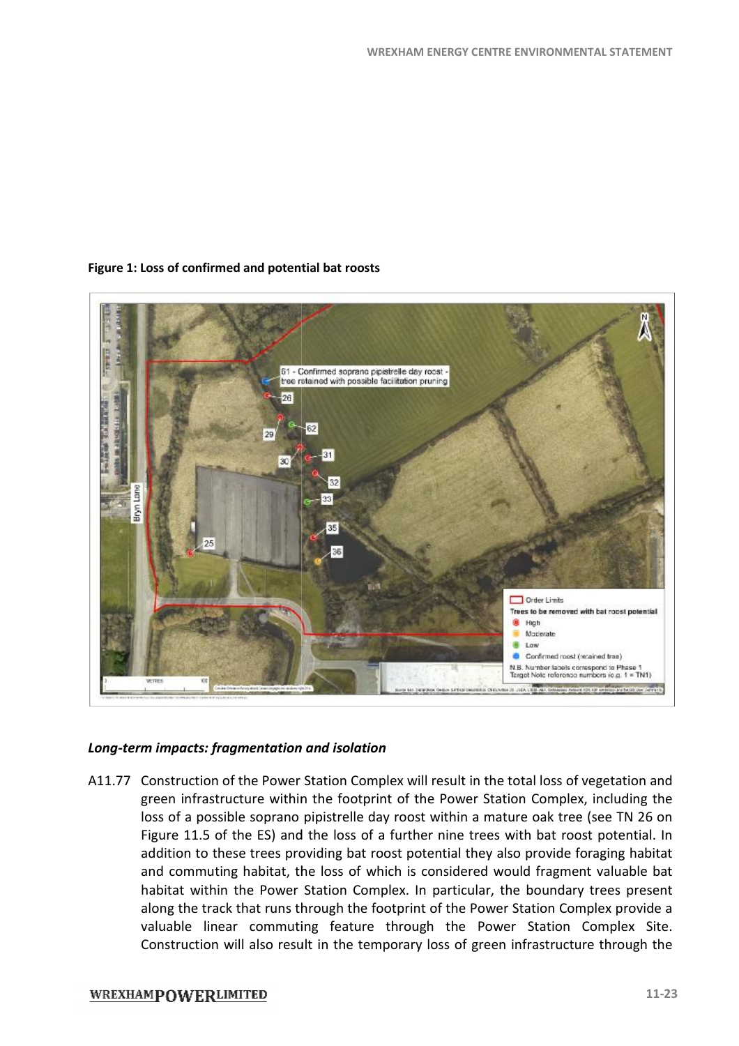

#### **Figure 1: Loss of confirmed and potential bat roosts :**

#### *Long-term impacts: fragmentation and isolation term impacts:*

A11.77 Construction of the Power Station Complex will result in the total loss of vegetation and Construction of the Power Station Complex will result in the total loss of vegetation and<br>green infrastructure within the footprint of the Power Station Complex, including the loss of a possible soprano pipistrelle day roost within a mature oak tree (see TN 26 on loss of a possible soprano pipistrelle day roost within a mature oak tree (see TN 26 on<br>Figure 11.5 of the ES) and the loss of a further nine trees with bat roost potential. In addition to these trees providing bat roost potential they also provide foraging habitat and commuting habitat, the loss of which is considered would fragment valuable bat<br>habitat within the Power Station Complex. In particular, the boundary trees present habitat within the Power Station Complex. In particular, the boundary trees present along the track that runs through the footprint of the Power Station Complex provide a valuable linear commuting feature through the Power Station Complex Site Site. Construction will also result in the temporary loss of green infrastructure through the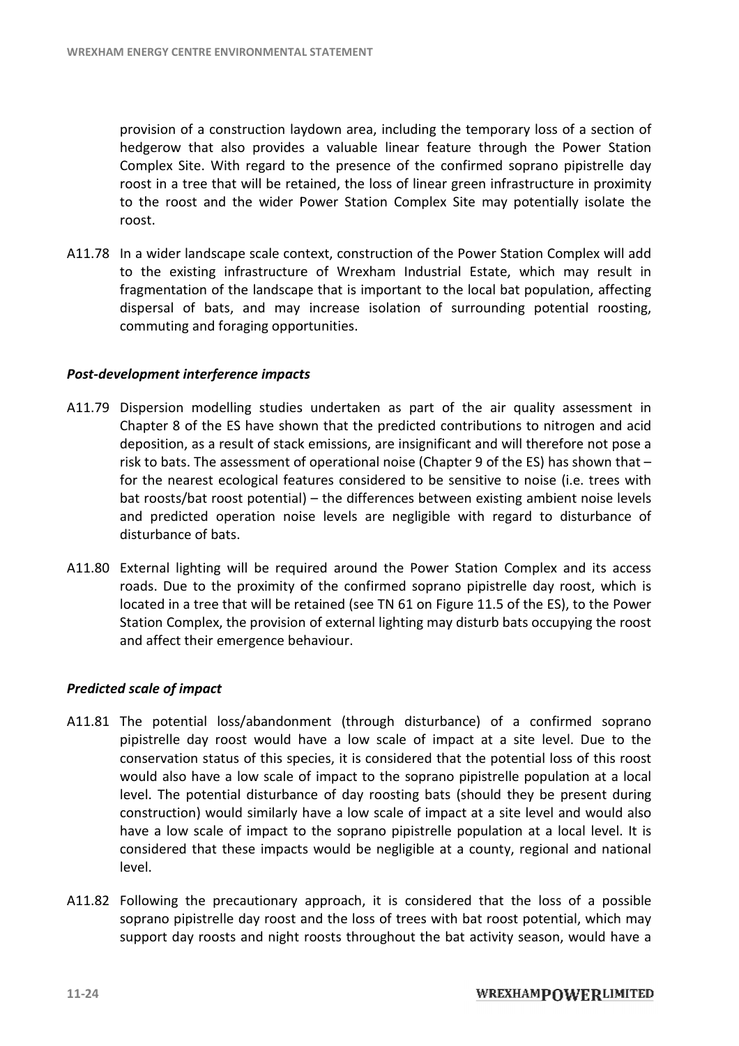provision of a construction laydown area, including the temporary loss of a section of hedgerow that also provides a valuable linear feature through the Power Station hedgerow that also provides a valuable linear feature through the Power Station<br>Complex Site. With regard to the presence of the confirmed soprano pipistrelle day roost in a tree that will be retained, the loss of linear green infrastructure in proximity to the roost and the wider Power Station Complex Site may potentially isolate the roost. to the roost and the wider Power Station Complex Site may potentially isolate the<br>roost.<br>A11.78 In a wider landscape scale context, construction of the Power Station Complex will add area, including the temporary loss of a section of<br>uable linear feature through the Power Station<br>resence of the confirmed soprano pipistrelle day<br>the loss of linear green infrastructure in proximity<br>Station Complex Site m

to the existing infrastructure of Wrexham Industrial Estate, which may result in fragmentation of the landscape that is important to the local bat population, affecting fragmentation of the landscape that is important to the local bat population, affecting<br>dispersal of bats, and may increase isolation of surrounding potential roosting, commuting and foraging opportunities. commuting

#### **Post-development interference impacts**

- A11.79 Dispersion modelling studies undertaken as part of the air quality assessment in Chapter 8 of the ES have shown that the predicted contributions to nitrogen and acid deposition, as a result of stack emissions, are insignificant and will therefore not pose a risk to bats. The assessment of operational noise (Chapter 9 of the ES) has shown that for the nearest ecological features considered to be sensitive to noise (i.e. trees with for the nearest ecological features considered to be sensitive to noise (i.e. trees with<br>bat roosts/bat roost potential) – the differences between existing ambient noise levels disturbance of bats.
- and predicted operation noise levels are negligible with regard to disturbance of<br>disturbance of bats.<br>External lighting will be required around the Power Station Complex and its access<br>roads. Due to the proximity of the c A11.80 External lighting will be required around the Power Station Complex and its access External lighting will be required around the Power Station Complex and<br>roads. Due to the proximity of the confirmed soprano pipistrelle day roost located in a tree that will be retained (see TN 61 on Figure 11.5 of the ES), to the Power Station Complex, the provision of external lighting may disturb bats occupying the roost Station and theiremergence behaviour. and affect their emergence behaviour

#### *Predicted scale of impact*

- A11.81 The potential loss/abandonment (through disturbance) of a confirmed soprano The potential loss/abandonment (through disturbance) of a confirmed soprano<br>pipistrelle day roost would have a low scale of impact at a site level. Due to the conservation status of this species, it is considered that the potential loss of this roost would also have a low scale of impact to the soprano pipistrelle population at a local level. The potential disturbance of day roosting bats (should they be present during construction) would similarly have a low scale of impact at a site level and would also have a low scale of impact to the soprano pipistrelle population at a local level. It is have a low scale of impact to the soprano pipistrelle population at a local level. It is<br>considered that these impacts would be negligible at a county, regional and national level. gure 11.5 of the ES), to the Power<br>y disturb bats occupying the roost<br>ance) of a confirmed soprano<br>pact at a site level. Due to the<br>at the potential loss of this roost
- A11.82 Following the precautionary approach, it is considered that the loss of a possible soprano pipistrelle day roost and the loss of trees with bat roost potential, which may support day roosts and night roosts throughout the bat activity season, would have a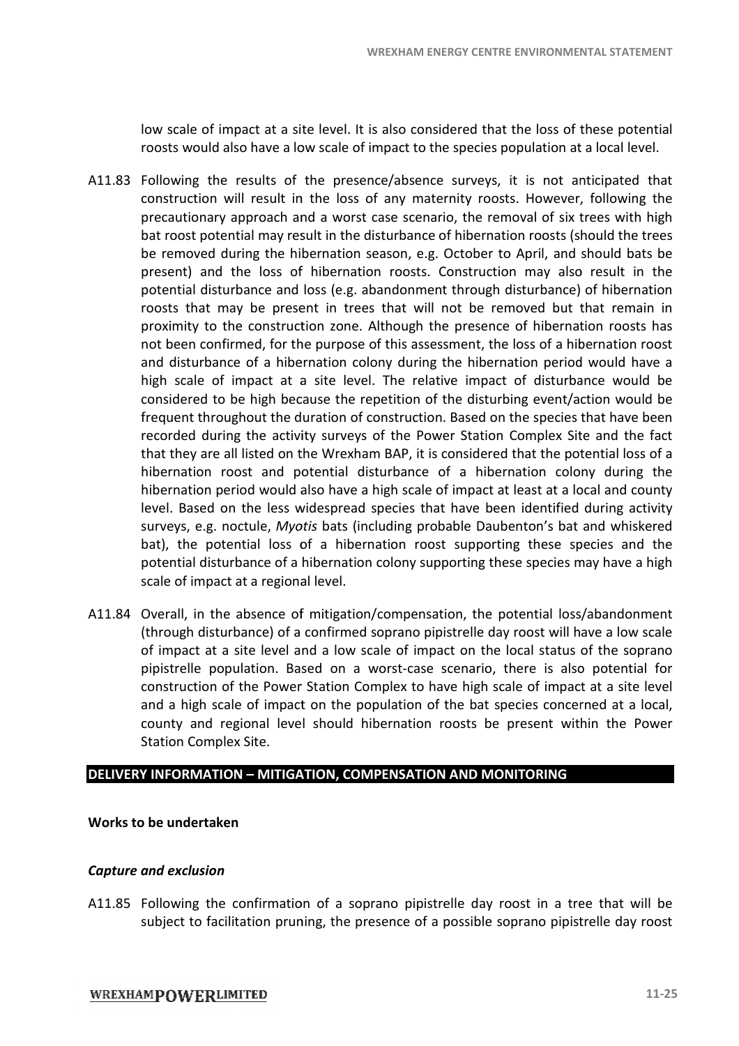low scale of impact at a site level. It is also considered that the loss of these potential roosts would also have a low scale of impact to the species population at a local level.

- A11.83 Following the results of the presence/absence surveys, it is not anticipated that construction will result in the loss of any maternity roosts. However, following the precautionary approach and a worst case scenario, the removal of six trees with high bat roost potential may result in the disturbance of hibernation roosts (should the trees be removed during the hibernation season, e.g. October to April, and should bats be present) and the loss of hibernation roosts. Construction may also result in the potential disturbance and loss (e.g. abandonment through disturbance) of hibernation roosts that may be present in trees that will not be removed but that remain in proximity to the construction zone. Although the presence of hibernation roosts has not been confirmed, for the purpose of this assessment, the loss of a hibernation roost and disturbance of a hibernation colony during the hibernation period would have a high scale of impact at a site level. The relative impact of disturbance would be considered to be high because the repetition of the disturbing event/action would be frequent throughout the duration of construction. Based on the species that have been recorded during the activity surveys of the Power Station Complex Site and the fact recorded during the activity surveys of the Power Station Complex Site and the fact<br>that they are all listed on the Wrexham BAP, it is considered that the potential loss of a hibernation roost and potential disturbance of a hibernation colony during the hibernation period would also have a high scale of impact at least at a local and county<br>level. Based on the less widespread species that have been identified during activity level. Based on the less widespread species that have been identified during activity surveys, e.g. noctule, Myotis bats (including probable Daubenton's bat and whiskered bat), the potential loss of a hibernation roost supporting these species and the potential disturbance of a hibernation colony supporting these species may have a high scale of impact at a regional level. :) and the loss of hibernation roosts. Construction may also result in the<br>al disturbance and loss (e.g. abandonment through disturbance) of hibernation<br>that may be present in trees that will not be removed but that remain bat), the potential loss of a hibernation roost supporting these species and the potential disturbance of a hibernation colony supporting these species may have a high scale of impact at a regional level.<br>Overall, in the a ERGY CENTRE ENVIRONMENTAL<br>dered that the loss of thes<br>e species population at a lo<br>surveys, it is not antici;<br>mity roosts. However, fol<br>io, the removal of six tree;<br>folioent to April, and shou<br>October to April, and shou<br>Co the loss of any maternity roosts. However, follow<br>id a worst case scenario, the removal of six trees w<br>ult in the disturbance of hibernation roosts (should to<br>pernation season, e.g. October to April, and should hat will not be removed but that remain in<br>hough the presence of hibernation roosts has<br>this assessment, the loss of a hibernation roost<br>y during the hibernation period would have a<br>The relative impact of disturbance would It is considered that the potential loss<br>
e of a hibernation colony during<br>
le of impact at least at a local and co<br>
that have been identified during act<br>
probable Daubenton's bat and whisk
- A11.84 Overall, in the absence of mitigation/compensation, the potential loss/abandonment (through disturbance) of a confirmed soprano pipistrelle day roost will have a low scale (through disturbance) of a confirmed soprano pipistrelle day roost will have a low scale<br>of impact at a site level and a low scale of impact on the local status of the soprano of impact at a site level and a low scale of impact on the local status of the soprano<br>pipistrelle population. Based on a worst-case scenario, there is also potential for construction of the Power Station Complex to have high scale of impact at a site level and a high scale of impact on the population of the bat species concerned at a local, construction of the Power Station Complex to have high scale of impact at a site level<br>and a high scale of impact on the population of the bat species concerned at a local,<br>county and regional level should hibernation roos Station Complex Site.

#### **DELIVERY INFORMATION – MITIGATION, COMPENSA COMPENSATION AND MONITORING**

#### **Works to be undertaken**

#### *Capture and exclusion*

A11.85 Following the confirmation of a soprano pipistrelle day roost in a tree that will be subject to facilitation pruning, the presence of a possible soprano pipistrelle day roost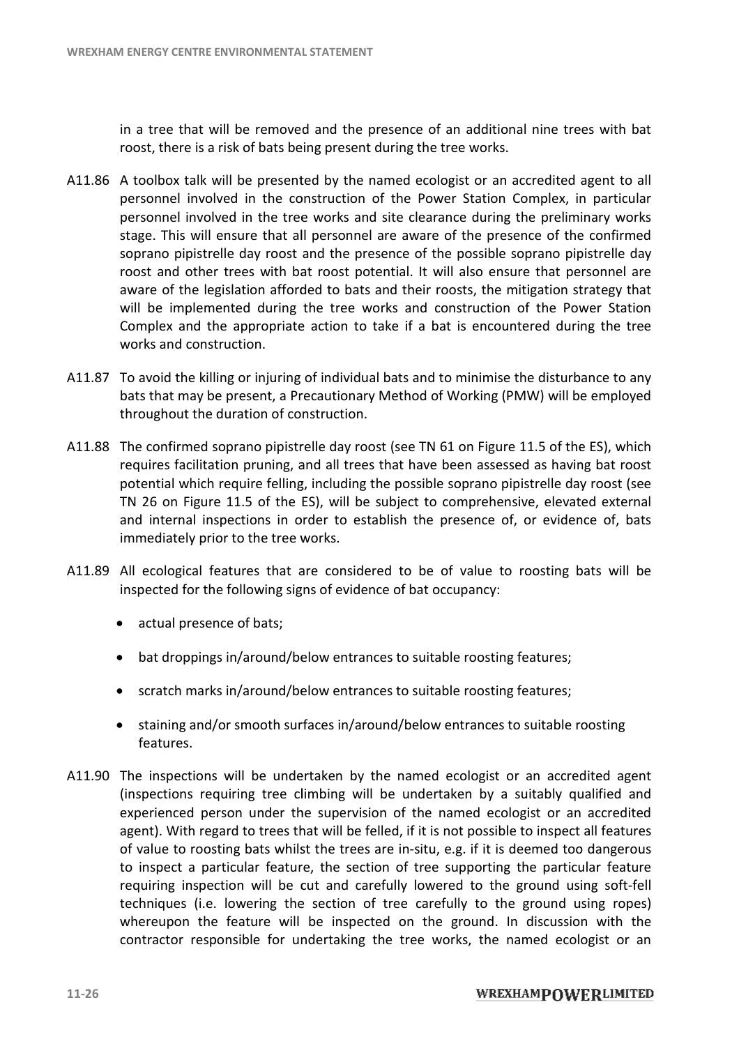in a tree that will be removed and the presence of an additional nine trees with bat roost, there is a risk of bats being present during the tree works. roost, there is a risk of bats being present during the tree works.

- A11.86 A toolbox talk will be presented by the named ecologist or an accredited agent to all personnel involved in the construction of the Power Station Complex, in particular personnel involved in the construction of the Power Station Complex, in particular<br>personnel involved in the tree works and site clearance during the preliminary works stage. This will ensure that all personnel are aware of the presence of the confirmed<br>soprano pipistrelle day roost and the presence of the possible soprano pipistrelle day soprano pipistrelle day roost and the presence of the possible soprano pipistrelle day roost and other trees with bat roost potential. It will also ensure that personnel are aware of the legislation afforded to bats and their roosts, the mitigation strategy that will be implemented during the tree works and construction of the Power Station will be implemented during the tree works and construction of the Power Station<br>Complex and the appropriate action to take if a bat is encountered during the tree works and construction.
- A11.87 To avoid the killing or injuring of individual bats and to minimise the disturbance to any bats that may be present, a Precautionary Method of Working (PMW) will be employed bats that may be present, a Precautionary<br>throughout the duration of construction.
- A11.88 The confirmed soprano pipistrelle day roost (see TN 61 on Figure 11.5 of the ES requires facilitation pruning, and all trees that have been assessed as having bat roost potential which require felling, including the possible soprano pipistrelle day roost (see TN 26 on Figure 11.5 of the ES), will be subject to comprehensive, elevated external<br>and internal inspections in order to establish the presence of, or evidence of, bats<br>immediately prior to the tree works.<br>All ecological and internal inspections in order to establish the presence of, or evidence of, bats immediately prior to the tree works. immediately
- A11.89 All ecological features that are considered to be of value to roosting bats will be inspected for the following signs of evidence of bat occupancy:
	- · actual presence of bats;
	- bat droppings in/around/below entrances to suitable roosting features; • scratch marks in/around/below entrances to suitable roosting features;<br>• bat droppings in/around/below entrances to suitable roosting features;<br>• scratch marks in/around/below entrances to suitable roosting features;
	-
	- staining and/or smooth surfaces in/around/below entrances to suitable roosting features.
- A11.90 The inspections will be undertaken by the named ecologist or an accredited agent (inspections requiring tree climbing will be undertaken by a suitably qualified and experienced person under the supervision of the named ecologist or an accredited agent). With regard to trees that will be felled, if it is not possible to inspect all features of value to roosting bats whilst the trees are in-situ, e.g. if it is deemed too dangerous of value to roosting bats whilst the trees are in-situ, e.g. if it is deemed too dangerous<br>to inspect a particular feature, the section of tree supporting the particular feature requiring inspection will be cut and carefully lowered to the ground using soft-fell techniques (i.e. lowering the section of tree carefully to the ground using ropes) whereupon the feature will be inspected on the ground. In discussion with the contractor responsible for undertaking the tree works, the named ecologist or an The inspections will be undertaken by the named ecologist or an accredited (inspections requiring tree climbing will be undertaken by a suitably qualified experienced person under the supervision of the named ecologist or personnel involved in the tree works and site clearance during the preliminary works<br>stage. This will ensure that all personnel are aware of the possehe soppon plipiterlie day<br>constant plaistrelic day foots and the presenc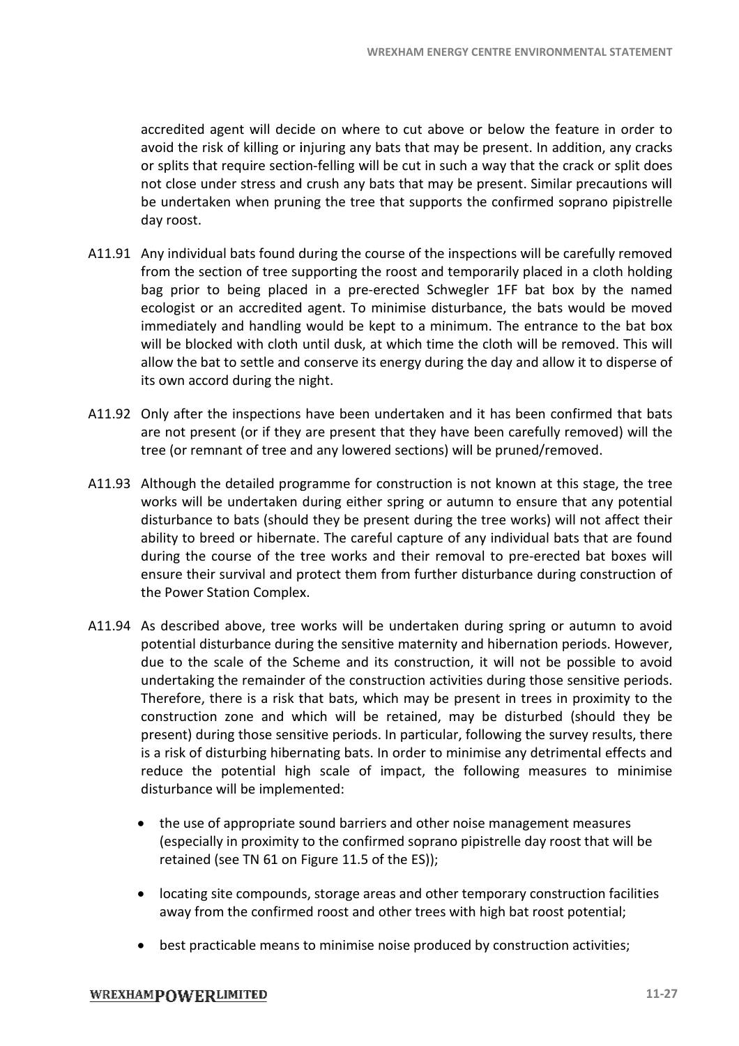accredited agent will decide on where to cut above or below the feature in order to avoid the risk of killing or injuring any bats that may be present. In addition, any cracks or splits that require section-felling will not close under stress and crush any bats that may be present. Similar precautions will be undertaken when pruning the tree that supports the confirmed soprano pipistrelle day roost. ccredited agent will decide on where to cut above or below the feature in order to<br>void the risk of killing or injuring any bats that may be present. In addition, any cracks<br>r splits that require section-felling will be cu

- A11.91 Any individual bats found during the course of the inspections will be carefully removed from the section of tree supporting the roost and temporarily placed in a cloth holding from the section of tree supporting the roost and temporarily placed in a cloth holding<br>bag prior to being placed in a pre-erected Schwegler 1FF bat box by the named ecologist or an accredited agent. To minimise disturbance, the bats would be moved immediately and handling would be kept to a minimum. The entrance to the bat box will be blocked with cloth until dusk, at which time the cloth will be removed. This will allow the bat to settle and conserve its energy during the day and allow it to disperse of its own accord during the night. its own accord during the night. ed Schwegler 1FF bat box by the named<br>ise disturbance, the bats would be moved<br>o a minimum. The entrance to the bat box<br>ch time the cloth will be removed. This will<br>gy during the day and allow it to disperse of<br>taken and i
- A11.92 Only after the inspections have been undertaken and it has been confirmed that bats are not present (or if they are present that they have been carefully removed) will the are not present (or if they are present that they have been carefully removed) will the tree (or remnant of tree and any lowered sections) will be pruned/removed.<br>Although the detailed programme for construction is not known at this stage
- A11.93 Although the detailed programme for construction is not known at this stage, the tree works will be undertaken during either spring or autumn to ensure that any potential disturbance to bats (should they be present during the tree works) will not affect their ability to breed or hibernate. The careful capture of any individual bats that are found during the course of the tree works and their removal to pre-erected bat boxes will ensure their survival and protect them from further disturbance during construction of the Power Station Complex. the Power Station Complex.
- A11.94 As described above, tree works will be undertaken during spring or autumn to avoid potential disturbance during the sensitive maternity and hibernation periods. However, due to the scale of the Scheme and its constr potential disturbance during the sensitive maternity and hibernation periods. However, due to the scale of the Scheme and its construction, it will not be possible to avoid undertaking the remainder of the construction activities during those sensitive periods. Therefore, there is a risk that bats, which may be present in trees in proximity to the construction zone and which will be retained, may be disturbed (should they be present) during those sensitive periods. In particular, following the survey results, the is a risk of disturbing hibernating bats. In order to minimise any detrimental effects and is a risk of disturbing hibernating bats. In order to minimise any detrimental effects and<br>reduce the potential high scale of impact, the following measures to minimise disturbance will be implemented: watexinan energy centrac environmental stattanes<br>sk of killing or injuring any bast that may be present. In addition, any crack<br>of religions are trong any bast that may be present. In addition, any crack<br>the oter trequire spring or autumn to ensure that any potential<br>sent during the tree works) will not affect their<br>il capture of any individual bats that are found<br>d their removal to pre-erected bat boxes will<br>rom further disturbance during
	- the use of appropriate sound barriers and other noise management measures (especially in proximity to the confirmed soprano pipistrelle day roost that will be retained (see TN 61 on Figure 11.5 of the ES)); retained (see TN 61 on Figure 11.5 of the ES));
	- · locating site compounds, storage areas and other temporary construction facilities away from the confirmed roost and other trees with high bat roost potential;
	- · best practicable means to minimise noise produced by construction activities;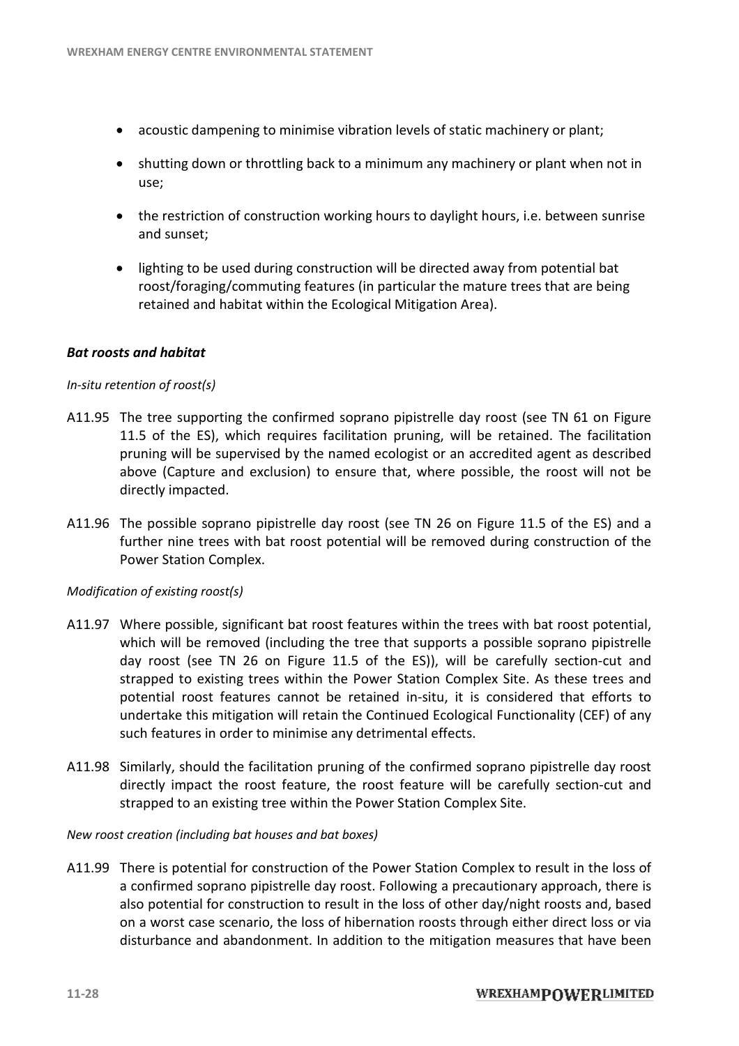- · acoustic dampening to minimise vibration levels of static machinery or plant;
- acoustic dampening to minimise vibration levels of static machinery or plant;<br>• shutting down or throttling back to a minimum any machinery or plant when not in use;
- the restriction of construction working hours to daylight hours, i.e. between sunrise and sunset;
- · lighting to be used during construction will be directed away from potential bat the restriction of construction working hours to daylight hours, i.e. between sunri:<br>and sunset;<br>lighting to be used during construction will be directed away from potential bat<br>roost/foraging/commuting features (in partic retained and habitat within the Ecological Mitigation Area). o a minimum any machinery or plant when not<br>rking hours to daylight hours, i.e. between sunri<br>ction will be directed away from potential bat<br>es (in particular the mature trees that are being<br>cological Mitigation Area).<br>sop

#### *Bat roosts and habitat*

#### *In-situ retention of roost(s)*

- A11.95 The tree supporting the confirmed soprano pipistrelle day roost (see TN 61 on Figure 11.5 of the ES), which requires facilitation pruning, will be retained. The facilitation pruning will be supervised by the named ecologist or an accredited agent as described above (Capture and exclusion) to ensure that, where possible, the roost will not be directly impacted. pruning will be supervised by the named ecologist or an accredited agent as de<br>above (Capture and exclusion) to ensure that, where possible, the roost will<br>directly impacted.<br>The possible soprano pipistrelle day roost (see
- A11.96 The possible soprano pipistrelle day roost (see TN 26 on Figure 11.5 of the ES) and a further nine trees with bat roost potential will be removed during construction of the Power Station Complex.

#### *Modification of existing roost(s)*

- A11.97 Where possible, significant bat roost features within the trees with bat roost potential, which will be removed (including the tree that supports a possible soprano pipistrelle day roost (see TN 26 on Figure 11.5 of the ES)), will be carefully section-cut and strapped to existing trees within the Power Station Complex Site. As these trees and potential roost features cannot be retained in-situ, it is considered that efforts to undertake this mitigation will retain the Continued Ecological Functionality (CEF) of any such features in order to minimise any detrimental effects. strapped to existing trees within the Power Station Complex Site. As these trees and<br>potential roost features cannot be retained in-situ, it is considered that efforts to<br>undertake this mitigation will retain the Continued
- A11.98 Similarly, should the facilitation pruning of the confirmed soprano pipistrelle day roost strapped to an existing tree within the Power Station Complex Site.

#### *New roost creation (including bat houses and bat boxes) houses and bat boxes)*

A11.99 There is potential for construction of the Power Station Complex to result in the loss of There is potential for construction of the Power Station Complex to result in the loss of<br>a confirmed soprano pipistrelle day roost. Following a precautionary approach, there is also potential for construction to result in the loss of other day/night roosts and, based also potential for construction to result in the loss of other day/night roosts and, based<br>on a worst case scenario, the loss of hibernation roosts through either direct loss or via disturbance and abandonment. In addition to the mitigation measures that have been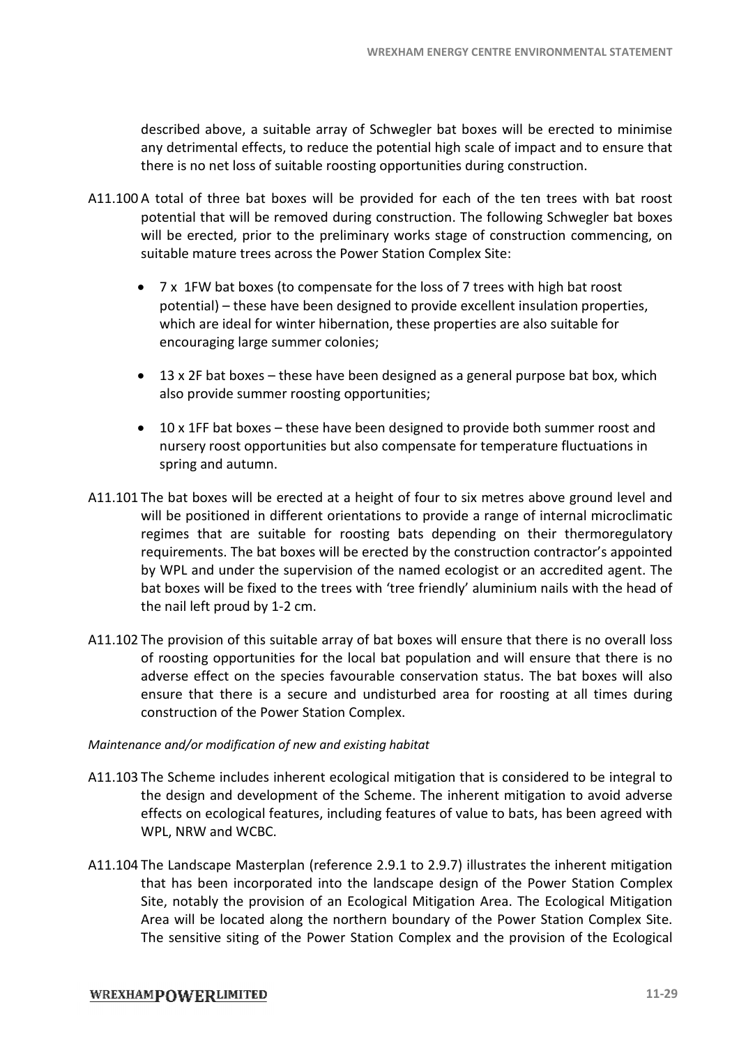described above, a suitable array of Schwegler bat boxes will be erected to minimise any detrimental effects, to reduce the potential high scale of impact and to ensure that<br>there is no net loss of suitable roosting opportunities during construction. there is no net loss of suitable roosting opportunities during construction.

- A11.100 A total of three bat boxes will be provided for each of the ten trees with bat roost potential that will be removed during construction. The following Schwegler bat boxes will be erected, prior to the preliminary works stage of construction commencing, on suitable mature trees across the Power Station Complex Site:
	- · 7 x 1FW bat boxes (to compensate for the loss of 7 trees with high bat roost table mature trees across the Power Station Complex Site:<br>7 x 1FW bat boxes (to compensate for the loss of 7 trees with high bat roost<br>potential) – these have been designed to provide excellent insulation properties, which are ideal for winter hibernation, these properties are also suitable for encouraging large summer colonies;
	- 13 x 2F bat boxes these have been designed as a general purpose bat box, which also provide summer roosting opportunities;
	- · 10 x 1FF bat boxes these have been designed to provide both summer roost and nursery roost opportunities but also compensate for temperature fluctuations in spring and autumn. boxes – these have been designed to provide both summer root opportunities but also compensate for temperature fluctuation<br>utumn.<br>will be erected at a height of four to six metres above ground
- A11.101 The bat boxes will be erected at a height of four to six metres above ground level and will be positioned in different orientations to provide a range of internal microclimatic regimes that are suitable for roosting bats depending on their thermoregulatory requirements. The bat boxes will be erected by the construction contractor's appointed regimes that are suitable for roosting bats depending on their thermoregulatory<br>requirements. The bat boxes will be erected by the construction contractor's appointed<br>by WPL and under the supervision of the named ecologist bat boxes will be fixed to the trees with 'tree friendly' aluminium nails with the head of the nail left proud by 1-2 cm. 2 WREXHAM ENERGY CENTRE ENVIRONMENTAL<br>
blowe, a suitable array of Schwegler bat boxes will be erected ot<br>
bental effects, to reduce the potential high scale of impediation.<br>
Intered in the base of impediation in the followin tunities during construction.<br>
for each of the ten trees with bat rouction. The following Schwegler bat bo<br>
ks stage of construction commencing,<br>
in Complex Site:<br>
loss of 7 trees with high bat roost<br>
provide excellent ins
- A11.102 The provision of this suitable array of bat boxes will ensure that there is no overall loss of roosting opportunities for the local bat population and will ensure that there is no adverse effect on the species favourable conservation status. The bat boxes will also adverse effect on the species favourable conservation status. The bat boxes will also<br>ensure that there is a secure and undisturbed area for roosting at all times during construction of the Power Station Complex.

#### *Maintenance and/or modification of new and existing habitat and/or*

- A11.103 The Scheme includes inherent ecological mitigation that is considered to be integral to the design and development of the Scheme. The inherent mitigation to avoid adverse the design and development of the Scheme. The inherent mitigation to avoid adverse effects on ecological features, including features of value to bats, has been agreed with WPL, NRW and WCBC. or roosting at all times during<br>t is considered to be integral to<br>ent mitigation to avoid adverse
- A11.104 The Landscape Masterplan (reference 2.9.1 to 2.9.7) illustrates the inherent mitigation that has been incorporated into the landscape design of the Power Station Complex<br>Site, notably the provision of an Ecological Mitigation Area. The Ecological Mitigation<br>Area will be located along the northern boundary of Site, notably the provision of an Ecological Mitigation Area. The Ecological Mitigation Area will be located along the northern boundary of the Power Station Complex Site. The sensitive siting of the Power Station Complex and the provision of the Ecological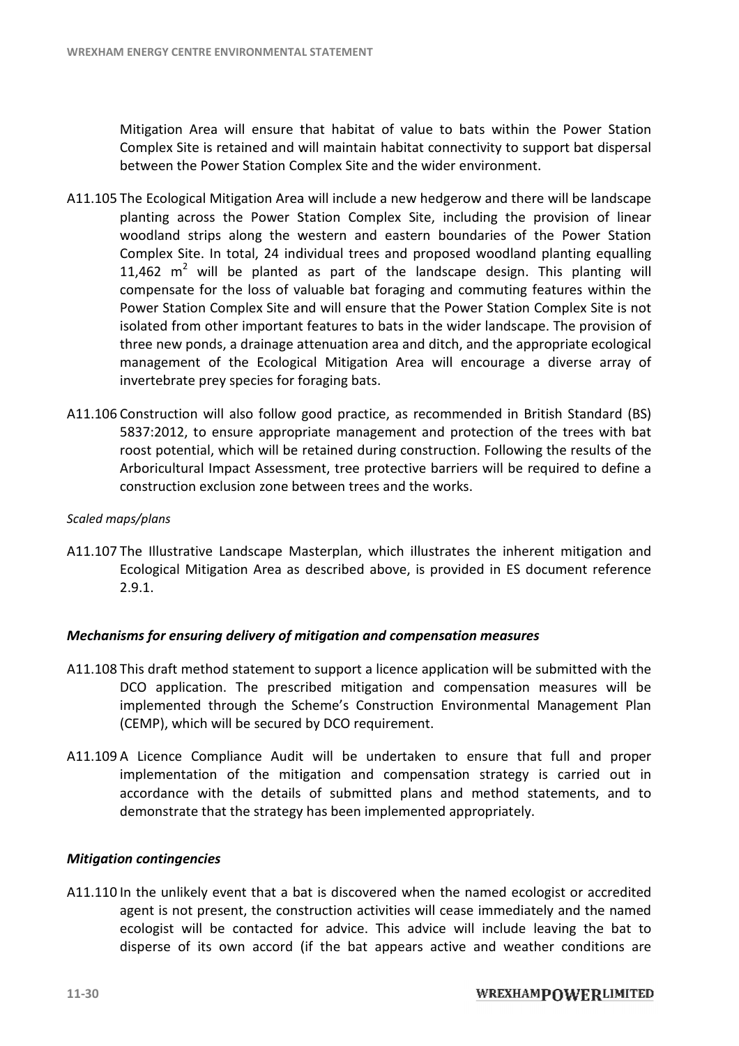Mitigation Area will ensure that habitat of value to bats within the Power Station Complex Site is retained and will maintain habitat connectivity to support bat dispersal between the Power Station Complex Site and the wider environment.

- A11.105 The Ecological Mitigation Area will include a new hedgerow and there will be landscape planting across the Power Station Complex Site, including the provision of linear woodland strips along the western and eastern boundaries of the Power Station Complex Site. In total, 24 individual trees and proposed woodland planting equalling 11,462  $m^2$  will be planted as part of the landscape design. This planting will compensate for the loss of valuable bat foraging and commuting features within the Power Station Complex Site and will ensure that the Power Station Complex Site is not isolated from other important features to bats in the wider landscape. The provision of three new ponds, a drainage attenuation area and ditch, and the appropriate ecological management of the Ecological Mitigation Area will encourage a diverse array of invertebrate prey species for foraging bats. three new ponds, a drainage attenuation area and ditch, and the appropriate ecological<br>management of the Ecological Mitigation Area will encourage a diverse array of<br>invertebrate prey species for foraging bats.<br>A11.106 Con l include a new hedgerow and there will<br>on Complex Site, including the provisi<br>ern and eastern boundaries of the Po
- 5837:2012, to ensure appropriate management and protection of the trees with bat roost potential, which will be retained during construction. Following the results of the Arboricultural Impact Assessment, tree protective barriers will be required to define a construction exclusion zone between trees and the works. nded in British Standard (BS)<br>ection of the trees with bat<br>. Following the results of the<br>. will be required to define a<br>the inherent mitigation and<br>d in ES document reference

#### *Scaled maps/plans*

construction exclusion zone between trees and the works.<br>Scaled maps/plans<br>A11.107 The Illustrative Landscape Masterplan, which illustrates the inherent mitigation and Ecological Mitigation Area as described above, is provided in ES document refe 2.9.1.

#### *Mechanisms for ensuring delivery of mitigation and compensation measures*

- A11.108 This draft method statement to support a licence application will be submitted with the This draft method statement to support a licence application will be submitted with the DCO application. The prescribed mitigation and compensation measures will be implemented through the Scheme's Construction Environmental Management Plan<br>(CEMP), which will be secured by DCO requirement.<br>A Licence Compliance Audit will be undertaken to ensure that full and proper (CEMP), which will be secured by DCO requirement.
- A11.109 A Licence Compliance Audit will be undertaken to ensure that implementation of the mitigation and compensation strategy is carried out in accordance with the details of submitted plans and method statements<br>demonstrate that the strategy has been implemented appropriately. demonstrate that the strategy has been implemented appropriately. rat full and proper<br>is carried out in<br>statements, and to

#### *Mitigation contingencies*

A11.110 In the unlikely event that a bat is discovered when the named ecologist or accredited agent is not present, the construction activities will cease immediately and the named ecologist will be contacted for advice. This advice will include leaving the bat to ecologist will be contacted for advice. This advice will include leaving the bat to<br>disperse of its own accord (if the bat appears active and weather conditions are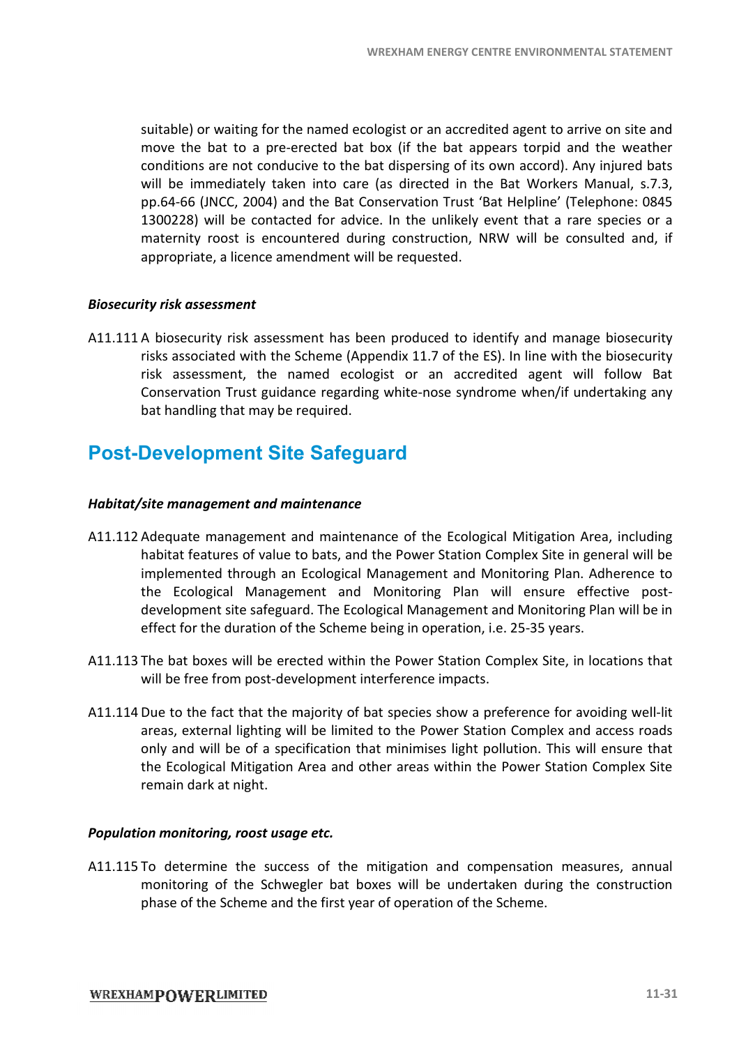suitable) or waiting for the named ecologist or an accredited agent to arrive on site and move the bat to a pre-erected bat box (if the bat appears torpid and the weather conditions are not conducive to the bat dispersing of its own accord). Any injured bats will be immediately taken into care (as directed in the Bat Workers Manual, s.7.3, pp.64-66 (JNCC, 2004) and the Bat Conservation Trust 'Bat Helpline' (Telephone: 0845 1300228) will be contacted for advice. In the unlikely event that a rare species or a maternity roost is encountered during construction, NRW will be consulted and, if<br>appropriate, a licence amendment will be requested.<br>**ity risk assessment**<br>A biosecurity risk assessment has been produced to identify and ma appropriate, a licence amendment will be requested. for the named ecologist or an accredited agent to arrive on<br>I pre-erected bat box (if the bat appears torpid and the<br>conducive to the bat dispersing of its own accord). Any inju WREXHAM ENERGY CENTRE ENVIRONMENTAL<br> **Example 18** and the to a pre-errected bat box (if the bat appears to priori to a pre-errected bat to a pre-errected bat of the bat appears to prior<br>
en ent conductive to the bat disper

#### *Biosecurity risk assessment*

A11.111 A biosecurity risk assessment has been produced to identify and manage biosecuri risks associated with the Scheme (Appendix 11.7 of the ES). In line with the biosecurity risk assessment, the named ecologist or an accredited agent will follow Bat risk assessment, the named ecologist or an accredited agent will follow Bat<br>Conservation Trust guidance regarding white-nose syndrome when/if undertaking any bat handling that may be required. with the Scheme (Appendix 11.7 of the ES). In line with the biosecurity<br>
the named ecologist or an accredited agent will follow Bat<br>
ist guidance regarding white-nose syndrome when/if undertaking any<br>
imay be required.<br> **n** 

### **Post-Development Site Safeguard Development**

#### *Habitat/site management and maintenance*

- A11.112 Adequate management and maintenance of the Ecological Mitigation Area, including Adequate management and maintenance of the Ecological Mitigation A<br>habitat features of value to bats, and the Power Station Complex Site in g implemented through an Ecological Management and Monitoring Plan. Adherence to<br>the Ecological Management and Monitoring Plan will ensure effective post-<br>development site safeguard. The Ecological Management and Monitoring the Ecological Management and Monitoring Plan will ensure effective post postdevelopment site safeguard. The Ecological Management and Monitoring Plan will be in effect for the duration of the Scheme being in operation, i.e. 25-35 years.
- A11.113 The bat boxes will be erected within the Power Station Complex Site, in locations that will be free from post-development interference impacts. development site safeguard. The Ecological Management and Monitoring Plan will be in<br>
effect for the duration of the Scheme being in operation, i.e. 25-35 years.<br>
A11.113 The bat boxes will be erected within the Power Stat
- areas, external lighting will be limited to the Power Station Complex and access roads<br>only and will be of a specification that minimises light pollution. This will ensure that only and will be of a specification that minimises light pollution. This will ensure that the Ecological Mitigation Area and other areas within the Power Station Complex Site remain dark at night.

#### **Population monitoring, roost usage etc.**

A11.115 To determine the success of the mitigation and compensation measures, annual monitoring of the Schwegler bat boxes will be undertaken during the construction monitoring of the Schwegler bat boxes will be undertaken durin gphase of the Scheme and the first year of operation of the Scheme.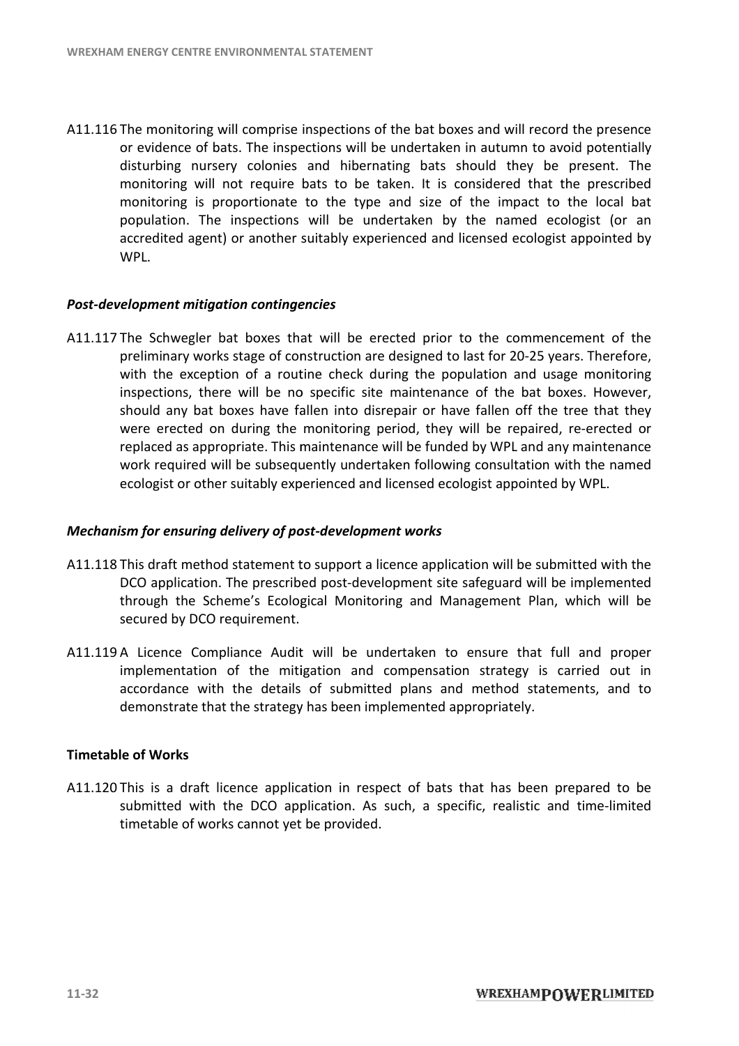A11.116 The monitoring will comprise inspections of the bat boxes and will record the presence or evidence of bats. The inspections will be undertaken in autumn to avoid potentia potentially disturbing nursery colonies and hibernating bats should they be present. The monitoring will not require bats to be taken. It is considered that the prescribed monitoring is proportionate to the type and size of the impact to the local bat population. The inspections will be undertaken by the named ecologist (or an accredited agent) or another suitably experienced and licensed ecologist appointed by accredited agent) or another suitably experienced and licensed ecologist appointed by WPL. The monitoring will comprise inspections of the bat boxes and will record the presence<br>or evidence of bats. The inspections will be undertaken in autumn to avoid potentially<br>disturbing nursery colonies and hibernating bats

#### **Post-development mitigation contingencies**

A11.117 The Schwegler bat boxes that will be erected prior to the commencement of the preliminary works stage of construction are designed to last for 20-25 years. Therefore, with the exception of a routine check during the population and usage monitoring inspections, there will be no specific site maintenance of the bat boxes. However, should any bat boxes have fallen into disrepair or have fallen off the tree that they were erected on during the monitoring period, they will be repaired, re-erected or were erected on during the monitoring period, they will be repaired, re-erected or<br>replaced as appropriate. This maintenance will be funded by WPL and any maintenance work required will be subsequently undertaken following consultation with the named ecologist or other suitably experienced and licensed ecologist appointed by WPL. commencement of the<br>20-25 years. Therefore,<br>and usage monitoring<br>e bat boxes. However,<br>a off the tree that they<br>repaired, re-erected or ind any<br>tion wi<br>inted b<br>e subm<br>will be

#### **Mechanism for ensuring delivery of post-development works**

- A11.118 This draft method statement to support a licence application will be submitted with the This draft method statement to support a licence application will be submitted with the<br>DCO application. The prescribed post-development site safeguard will be implemented through the Scheme's Ecological Monitoring and Management Plan, which will be secured by DCO requirement.
- A11.119 A Licence Compliance Audit will be undertaken to ensure that full and proper implementation of the mitigation and compensation strategy is carried out in accordance with the details of submitted plans and method statements, and to demonstrate that the strategy has been implemented appropriately. A Licence Compliance Audit will be undertaken to ensure that full and proper<br>implementation of the mitigation and compensation strategy is carried out in<br>accordance with the details of submitted plans and method statements omitoring and Management Plan, which will be<br>e undertaken to ensure that full and proper<br>and compensation strategy is carried out in<br>mitted plans and method statements, and to<br>in implemented appropriately.<br>respect of bats

#### **Timetable of Works**

A11.120 This is a draft licence application in respect of bats that has been prepared to be submitted with the DCO application. As such, a specific, realistic and time timetable of works cannot yet be provided.